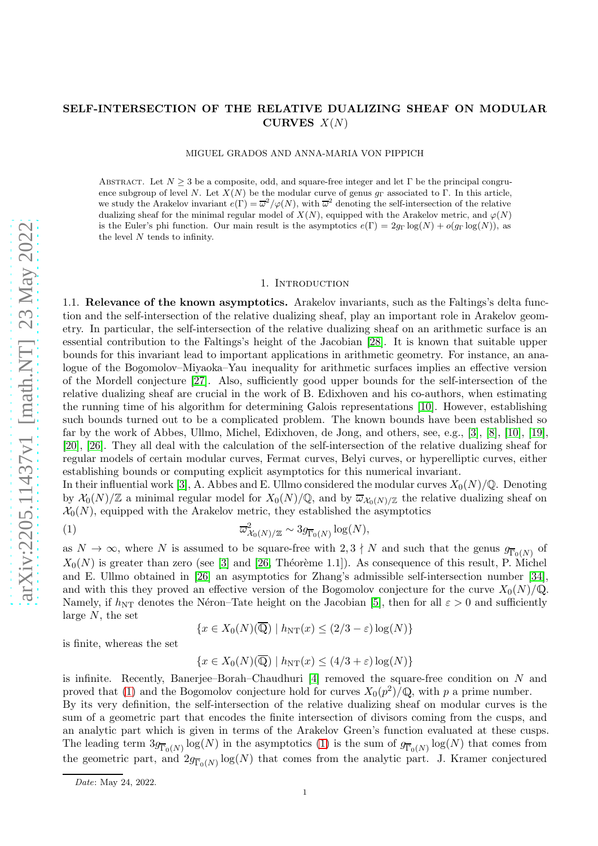# arXiv:2205.11437v1 [math.NT] 23 May 2022 [arXiv:2205.11437v1 \[math.NT\] 23 May 2022](http://arxiv.org/abs/2205.11437v1)

# SELF-INTERSECTION OF THE RELATIVE DUALIZING SHEAF ON MODULAR CURVES  $X(N)$

MIGUEL GRADOS AND ANNA-MARIA VON PIPPICH

ABSTRACT. Let  $N > 3$  be a composite, odd, and square-free integer and let Γ be the principal congruence subgroup of level N. Let  $X(N)$  be the modular curve of genus g<sub>Γ</sub> associated to Γ. In this article, we study the Arakelov invariant  $e(\Gamma) = \overline{\omega}^2/\varphi(N)$ , with  $\overline{\omega}^2$  denoting the self-intersection of the relative dualizing sheaf for the minimal regular model of  $X(N)$ , equipped with the Arakelov metric, and  $\varphi(N)$ is the Euler's phi function. Our main result is the asymptotics  $e(\Gamma) = 2g_{\Gamma} \log(N) + o(g_{\Gamma} \log(N))$ , as the level  $N$  tends to infinity.

### 1. INTRODUCTION

1.1. Relevance of the known asymptotics. Arakelov invariants, such as the Faltings's delta function and the self-intersection of the relative dualizing sheaf, play an important role in Arakelov geometry. In particular, the self-intersection of the relative dualizing sheaf on an arithmetic surface is an essential contribution to the Faltings's height of the Jacobian [\[28\]](#page-27-0). It is known that suitable upper bounds for this invariant lead to important applications in arithmetic geometry. For instance, an analogue of the Bogomolov–Miyaoka–Yau inequality for arithmetic surfaces implies an effective version of the Mordell conjecture [\[27\]](#page-27-1). Also, sufficiently good upper bounds for the self-intersection of the relative dualizing sheaf are crucial in the work of B. Edixhoven and his co-authors, when estimating the running time of his algorithm for determining Galois representations [\[10\]](#page-26-0). However, establishing such bounds turned out to be a complicated problem. The known bounds have been established so far by the work of Abbes, Ullmo, Michel, Edixhoven, de Jong, and others, see, e.g., [\[3\]](#page-26-1), [\[8\]](#page-26-2), [\[10\]](#page-26-0), [\[19\]](#page-27-2), [\[20\]](#page-27-3), [\[26\]](#page-27-4). They all deal with the calculation of the self-intersection of the relative dualizing sheaf for regular models of certain modular curves, Fermat curves, Belyi curves, or hyperelliptic curves, either establishing bounds or computing explicit asymptotics for this numerical invariant.

In their influential work [\[3\]](#page-26-1), A. Abbes and E. Ullmo considered the modular curves  $X_0(N)/\mathbb{Q}$ . Denoting by  $\mathcal{X}_0(N)/\mathbb{Z}$  a minimal regular model for  $X_0(N)/\mathbb{Q}$ , and by  $\overline{\omega}_{\mathcal{X}_0(N)/\mathbb{Z}}$  the relative dualizing sheaf on  $\mathcal{X}_0(N)$ , equipped with the Arakelov metric, they established the asymptotics

<span id="page-0-0"></span>(1) 
$$
\overline{\omega}_{\mathcal{X}_0(N)/\mathbb{Z}}^2 \sim 3g_{\overline{\Gamma}_0(N)}\log(N),
$$

as  $N \to \infty$ , where N is assumed to be square-free with  $2,3 \nmid N$  and such that the genus  $g_{\overline{\Gamma}_0(N)}$  of  $X_0(N)$  is greater than zero (see [\[3\]](#page-26-1) and [\[26,](#page-27-4) Théorème 1.1]). As consequence of this result, P. Michel and E. Ullmo obtained in [\[26\]](#page-27-4) an asymptotics for Zhang's admissible self-intersection number [\[34\]](#page-27-5), and with this they proved an effective version of the Bogomolov conjecture for the curve  $X_0(N)/\mathbb{Q}$ . Namely, if  $h_{\text{NT}}$  denotes the Néron–Tate height on the Jacobian [\[5\]](#page-26-3), then for all  $\varepsilon > 0$  and sufficiently large  $N$ , the set

$$
\{x \in X_0(N)(\mathbb{Q}) \mid h_{NT}(x) \le (2/3 - \varepsilon) \log(N) \}
$$

is finite, whereas the set

$$
\{x \in X_0(N)(\overline{\mathbb{Q}}) \mid h_{NT}(x) \le (4/3 + \varepsilon) \log(N) \}
$$

is infinite. Recently, Banerjee–Borah–Chaudhuri  $[4]$  removed the square-free condition on N and proved that [\(1\)](#page-0-0) and the Bogomolov conjecture hold for curves  $X_0(p^2)/\mathbb{Q}$ , with p a prime number.

By its very definition, the self-intersection of the relative dualizing sheaf on modular curves is the sum of a geometric part that encodes the finite intersection of divisors coming from the cusps, and an analytic part which is given in terms of the Arakelov Green's function evaluated at these cusps. The leading term  $3g_{\overline{\Gamma}_0(N)}\log(N)$  in the asymptotics [\(1\)](#page-0-0) is the sum of  $g_{\overline{\Gamma}_0(N)}\log(N)$  that comes from the geometric part, and  $2g_{\overline{\Gamma}_0(N)}\log(N)$  that comes from the analytic part. J. Kramer conjectured

*Date*: May 24, 2022.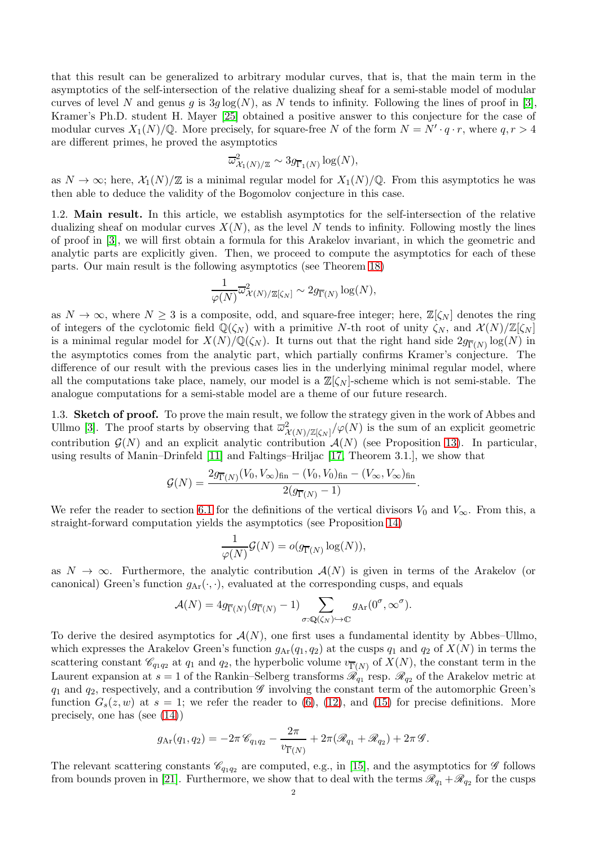that this result can be generalized to arbitrary modular curves, that is, that the main term in the asymptotics of the self-intersection of the relative dualizing sheaf for a semi-stable model of modular curves of level N and genus g is  $3g \log(N)$ , as N tends to infinity. Following the lines of proof in [\[3\]](#page-26-1), Kramer's Ph.D. student H. Mayer [\[25\]](#page-27-6) obtained a positive answer to this conjecture for the case of modular curves  $X_1(N)/\mathbb{Q}$ . More precisely, for square-free N of the form  $N = N' \cdot q \cdot r$ , where  $q, r > 4$ are different primes, he proved the asymptotics

$$
\overline{\omega}_{\mathcal{X}_1(N)/\mathbb{Z}}^2 \sim 3g_{\overline{\Gamma}_1(N)} \log(N),
$$

as  $N \to \infty$ ; here,  $\mathcal{X}_1(N)/\mathbb{Z}$  is a minimal regular model for  $X_1(N)/\mathbb{Q}$ . From this asymptotics he was then able to deduce the validity of the Bogomolov conjecture in this case.

1.2. Main result. In this article, we establish asymptotics for the self-intersection of the relative dualizing sheaf on modular curves  $X(N)$ , as the level N tends to infinity. Following mostly the lines of proof in [\[3\]](#page-26-1), we will first obtain a formula for this Arakelov invariant, in which the geometric and analytic parts are explicitly given. Then, we proceed to compute the asymptotics for each of these parts. Our main result is the following asymptotics (see Theorem [18\)](#page-26-5)

$$
\frac{1}{\varphi(N)}\overline{\omega}_{\mathcal{X}(N)/\mathbb{Z}[\zeta_N]}^2 \sim 2g_{\overline{\Gamma}(N)}\log(N),
$$

as  $N \to \infty$ , where  $N \geq 3$  is a composite, odd, and square-free integer; here,  $\mathbb{Z}[\zeta_N]$  denotes the ring of integers of the cyclotomic field  $\mathbb{Q}(\zeta_N)$  with a primitive N-th root of unity  $\zeta_N$ , and  $\mathcal{X}(N)/\mathbb{Z}[\zeta_N]$ is a minimal regular model for  $X(N)/\mathbb{Q}(\zeta_N)$ . It turns out that the right hand side  $2g_{\overline{\Gamma}(N)}\log(N)$  in the asymptotics comes from the analytic part, which partially confirms Kramer's conjecture. The difference of our result with the previous cases lies in the underlying minimal regular model, where all the computations take place, namely, our model is a  $\mathbb{Z}[\zeta_N]$ -scheme which is not semi-stable. The analogue computations for a semi-stable model are a theme of our future research.

1.3. Sketch of proof. To prove the main result, we follow the strategy given in the work of Abbes and Ullmo [\[3\]](#page-26-1). The proof starts by observing that  $\overline{\omega}^2_{\mathcal{X}(N)/\mathbb{Z}[\zeta_N]}/\varphi(N)$  is the sum of an explicit geometric contribution  $\mathcal{G}(N)$  and an explicit analytic contribution  $\mathcal{A}(N)$  (see Proposition [13\)](#page-22-0). In particular, using results of Manin–Drinfeld [\[11\]](#page-26-6) and Faltings–Hriljac [\[17,](#page-27-7) Theorem 3.1.], we show that

$$
\mathcal{G}(N) = \frac{2g_{\overline{\Gamma}(N)}(V_0, V_{\infty})_{\text{fin}} - (V_0, V_0)_{\text{fin}} - (V_{\infty}, V_{\infty})_{\text{fin}}}{2(g_{\overline{\Gamma}(N)} - 1)}.
$$

We refer the reader to section [6.1](#page-21-0) for the definitions of the vertical divisors  $V_0$  and  $V_\infty$ . From this, a straight-forward computation yields the asymptotics (see Proposition [14\)](#page-23-0)

$$
\frac{1}{\varphi(N)}\mathcal{G}(N) = o(g_{\overline{\Gamma}(N)}\log(N)),
$$

as  $N \to \infty$ . Furthermore, the analytic contribution  $\mathcal{A}(N)$  is given in terms of the Arakelov (or canonical) Green's function  $g_{\text{Ar}}(\cdot, \cdot)$ , evaluated at the corresponding cusps, and equals

$$
\mathcal{A}(N) = 4g_{\overline{\Gamma}(N)}(g_{\overline{\Gamma}(N)} - 1) \sum_{\sigma: \mathbb{Q}(\zeta_N) \hookrightarrow \mathbb{C}} g_{\mathrm{Ar}}(0^{\sigma}, \infty^{\sigma}).
$$

To derive the desired asymptotics for  $\mathcal{A}(N)$ , one first uses a fundamental identity by Abbes–Ullmo, which expresses the Arakelov Green's function  $g_{\text{Ar}}(q_1, q_2)$  at the cusps  $q_1$  and  $q_2$  of  $X(N)$  in terms the scattering constant  $\mathscr{C}_{q_1q_2}$  at  $q_1$  and  $q_2$ , the hyperbolic volume  $v_{\overline{\Gamma}(N)}$  of  $X(N)$ , the constant term in the Laurent expansion at  $s = 1$  of the Rankin–Selberg transforms  $\mathscr{R}_{q_1}$  resp.  $\mathscr{R}_{q_2}$  of the Arakelov metric at  $q_1$  and  $q_2$ , respectively, and a contribution  $\mathscr G$  involving the constant term of the automorphic Green's function  $G_s(z, w)$  at  $s = 1$ ; we refer the reader to [\(6\)](#page-4-0), [\(12\)](#page-6-0), and [\(15\)](#page-7-0) for precise definitions. More precisely, one has (see [\(14\)](#page-7-1))

$$
g_{\text{Ar}}(q_1, q_2) = -2\pi \mathcal{C}_{q_1q_2} - \frac{2\pi}{v_{\overline{\Gamma}(N)}} + 2\pi (\mathcal{R}_{q_1} + \mathcal{R}_{q_2}) + 2\pi \mathcal{G}.
$$

The relevant scattering constants  $\mathscr{C}_{q_1q_2}$  are computed, e.g., in [\[15\]](#page-27-8), and the asymptotics for  $\mathscr G$  follows from bounds proven in [\[21\]](#page-27-9). Furthermore, we show that to deal with the terms  $\mathscr{R}_{q_1} + \mathscr{R}_{q_2}$  for the cusps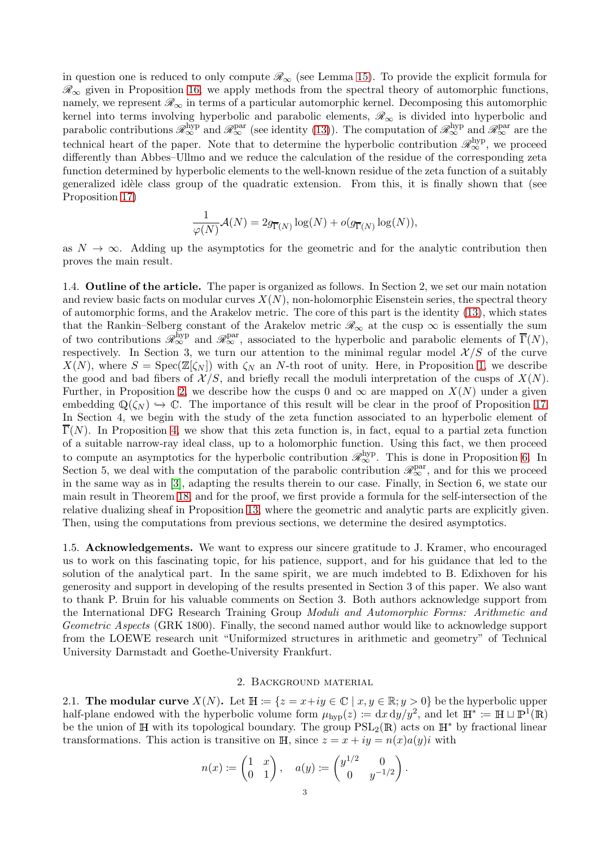in question one is reduced to only compute  $\mathcal{R}_{\infty}$  (see Lemma [15\)](#page-24-0). To provide the explicit formula for  $\mathcal{R}_{\infty}$  given in Proposition [16,](#page-24-1) we apply methods from the spectral theory of automorphic functions, namely, we represent  $\mathcal{R}_{\infty}$  in terms of a particular automorphic kernel. Decomposing this automorphic kernel into terms involving hyperbolic and parabolic elements,  $\mathscr{R}_{\infty}$  is divided into hyperbolic and parabolic contributions  $\mathscr{R}_{\infty}^{\text{hyp}}$  and  $\mathscr{R}_{\infty}^{\text{par}}$  (see identity [\(13\)](#page-6-1)). The computation of  $\mathscr{R}_{\infty}^{\text{hyp}}$  and  $\mathscr{R}_{\infty}^{\text{par}}$  are the technical heart of the paper. Note that to determine the hyperbolic contribution  $\mathscr{R}_{\infty}^{\text{hyp}}$ , we proceed differently than Abbes–Ullmo and we reduce the calculation of the residue of the corresponding zeta function determined by hyperbolic elements to the well-known residue of the zeta function of a suitably generalized idèle class group of the quadratic extension. From this, it is finally shown that (see Proposition [17\)](#page-25-0)

$$
\frac{1}{\varphi(N)}\mathcal{A}(N) = 2g_{\overline{\Gamma}(N)}\log(N) + o(g_{\overline{\Gamma}(N)}\log(N)),
$$

as  $N \to \infty$ . Adding up the asymptotics for the geometric and for the analytic contribution then proves the main result.

1.4. Outline of the article. The paper is organized as follows. In Section 2, we set our main notation and review basic facts on modular curves  $X(N)$ , non-holomorphic Eisenstein series, the spectral theory of automorphic forms, and the Arakelov metric. The core of this part is the identity [\(13\)](#page-6-1), which states that the Rankin–Selberg constant of the Arakelov metric  $\mathscr{R}_{\infty}$  at the cusp  $\infty$  is essentially the sum of two contributions  $\mathscr{R}_{\infty}^{\text{hyp}}$  and  $\mathscr{R}_{\infty}^{\text{par}}$ , associated to the hyperbolic and parabolic elements of  $\overline{\Gamma}(N)$ , respectively. In Section 3, we turn our attention to the minimal regular model  $\mathcal{X}/S$  of the curve  $X(N)$ , where  $S = \text{Spec}(\mathbb{Z}[\zeta_N])$  with  $\zeta_N$  an N-th root of unity. Here, in Proposition [1,](#page-8-0) we describe the good and bad fibers of  $\mathcal{X}/S$ , and briefly recall the moduli interpretation of the cusps of  $X(N)$ . Further, in Proposition [2,](#page-9-0) we describe how the cusps 0 and  $\infty$  are mapped on  $X(N)$  under a given embedding  $\mathbb{Q}(\zeta_N) \hookrightarrow \mathbb{C}$ . The importance of this result will be clear in the proof of Proposition [17.](#page-25-0) In Section 4, we begin with the study of the zeta function associated to an hyperbolic element of  $\overline{\Gamma}(N)$ . In Proposition [4,](#page-11-0) we show that this zeta function is, in fact, equal to a partial zeta function of a suitable narrow-ray ideal class, up to a holomorphic function. Using this fact, we then proceed to compute an asymptotics for the hyperbolic contribution  $\mathscr{R}_{\infty}^{\text{hyp}}$ . This is done in Proposition [6.](#page-13-0) In Section 5, we deal with the computation of the parabolic contribution  $\mathscr{R}_{\infty}^{\text{par}}$ , and for this we proceed in the same way as in [\[3\]](#page-26-1), adapting the results therein to our case. Finally, in Section 6, we state our main result in Theorem [18,](#page-26-5) and for the proof, we first provide a formula for the self-intersection of the relative dualizing sheaf in Proposition [13,](#page-22-0) where the geometric and analytic parts are explicitly given. Then, using the computations from previous sections, we determine the desired asymptotics.

1.5. Acknowledgements. We want to express our sincere gratitude to J. Kramer, who encouraged us to work on this fascinating topic, for his patience, support, and for his guidance that led to the solution of the analytical part. In the same spirit, we are much imdebted to B. Edixhoven for his generosity and support in developing of the results presented in Section 3 of this paper. We also want to thank P. Bruin for his valuable comments on Section 3. Both authors acknowledge support from the International DFG Research Training Group *Moduli and Automorphic Forms: Arithmetic and Geometric Aspects* (GRK 1800). Finally, the second named author would like to acknowledge support from the LOEWE research unit "Uniformized structures in arithmetic and geometry" of Technical University Darmstadt and Goethe-University Frankfurt.

### 2. Background material

2.1. The modular curve  $X(N)$ . Let  $\mathbb{H} := \{z = x+iy \in \mathbb{C} \mid x, y \in \mathbb{R}; y > 0\}$  be the hyperbolic upper half-plane endowed with the hyperbolic volume form  $\mu_{hyp}(z) := dx dy/y^2$ , and let  $\mathbb{H}^* := \mathbb{H} \cup \mathbb{P}^1(\mathbb{R})$ be the union of H with its topological boundary. The group  $PSL_2(\mathbb{R})$  acts on  $\mathbb{H}^*$  by fractional linear transformations. This action is transitive on H, since  $z = x + iy = n(x)a(y)i$  with

$$
n(x) := \begin{pmatrix} 1 & x \\ 0 & 1 \end{pmatrix}, \quad a(y) := \begin{pmatrix} y^{1/2} & 0 \\ 0 & y^{-1/2} \end{pmatrix}.
$$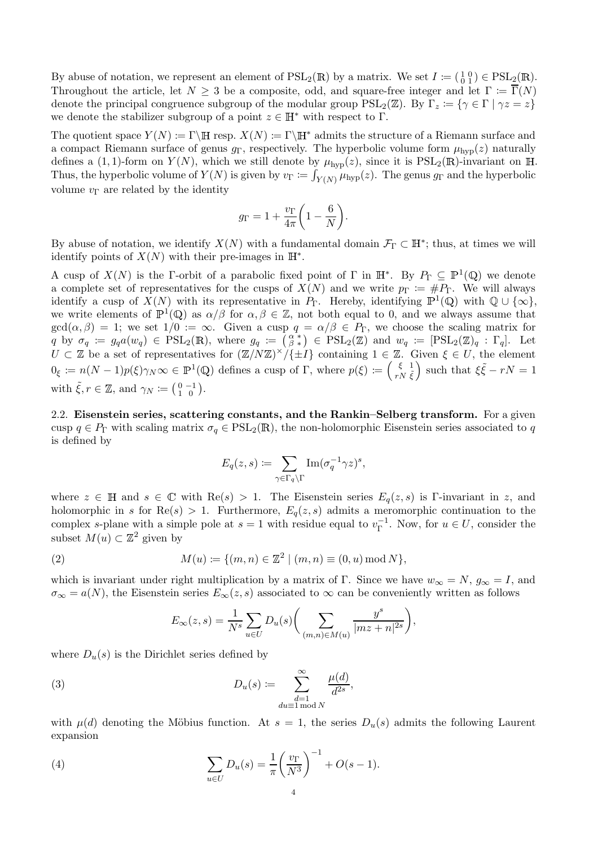By abuse of notation, we represent an element of  $PSL_2(\mathbb{R})$  by a matrix. We set  $I := \begin{pmatrix} 1 & 0 \\ 0 & 1 \end{pmatrix} \in \text{PSL}_2(\mathbb{R})$ . Throughout the article, let  $N \geq 3$  be a composite, odd, and square-free integer and let  $\Gamma := \overline{\Gamma}(N)$ denote the principal congruence subgroup of the modular group  $PSL_2(\mathbb{Z})$ . By  $\Gamma_z := \{ \gamma \in \Gamma \mid \gamma z = z \}$ we denote the stabilizer subgroup of a point  $z \in \mathbb{H}^*$  with respect to  $\Gamma$ .

The quotient space  $Y(N) := \Gamma \backslash \mathbb{H}$  resp.  $X(N) := \Gamma \backslash \mathbb{H}^*$  admits the structure of a Riemann surface and a compact Riemann surface of genus  $q_{\Gamma}$ , respectively. The hyperbolic volume form  $\mu_{\text{hvn}}(z)$  naturally defines a (1, 1)-form on  $Y(N)$ , which we still denote by  $\mu_{\text{hyp}}(z)$ , since it is  $PSL_2(\mathbb{R})$ -invariant on H. Thus, the hyperbolic volume of  $Y(N)$  is given by  $v_{\Gamma} := \int_{Y(N)} \mu_{\text{hyp}}(z)$ . The genus  $g_{\Gamma}$  and the hyperbolic volume  $v_{\Gamma}$  are related by the identity

$$
g_{\Gamma} = 1 + \frac{v_{\Gamma}}{4\pi} \bigg( 1 - \frac{6}{N} \bigg).
$$

By abuse of notation, we identify  $X(N)$  with a fundamental domain  $\mathcal{F}_{\Gamma} \subset \mathbb{H}^*$ ; thus, at times we will identify points of  $X(N)$  with their pre-images in  $\mathbb{H}^*$ .

A cusp of  $X(N)$  is the Γ-orbit of a parabolic fixed point of Γ in  $\mathbb{H}^*$ . By  $P_{\Gamma} \subseteq \mathbb{P}^1(\mathbb{Q})$  we denote a complete set of representatives for the cusps of  $X(N)$  and we write  $p_{\Gamma} := \#P_{\Gamma}$ . We will always identify a cusp of  $X(N)$  with its representative in  $P_{\Gamma}$ . Hereby, identifying  $\mathbb{P}^1(\mathbb{Q})$  with  $\mathbb{Q} \cup \{\infty\}$ , we write elements of  $\mathbb{P}^1(\mathbb{Q})$  as  $\alpha/\beta$  for  $\alpha, \beta \in \mathbb{Z}$ , not both equal to 0, and we always assume that  $gcd(\alpha, \beta) = 1$ ; we set  $1/0 := \infty$ . Given a cusp  $q = \alpha/\beta \in P_{\Gamma}$ , we choose the scaling matrix for  $q \text{ by } \sigma_q := g_q a(w_q) \in \text{PSL}_2(\mathbb{R})$ , where  $g_q := \left(\begin{matrix} \alpha^* \\ \beta^* \end{matrix}\right) \in \text{PSL}_2(\mathbb{Z})$  and  $w_q := \text{[PSL}_2(\mathbb{Z})_q : \Gamma_q$ . Let  $U \subset \mathbb{Z}$  be a set of representatives for  $(\mathbb{Z}/N\mathbb{Z})^{\times}/\{\pm I\}$  containing  $1 \in \mathbb{Z}$ . Given  $\xi \in U$ , the element  $0_{\xi} := n(N-1)p(\xi)\gamma_N\infty \in \mathbb{P}^1(\mathbb{Q})$  defines a cusp of  $\Gamma$ , where  $p(\xi) := \begin{pmatrix} \xi & 1 \\ r_N & \xi \end{pmatrix}$  $rN\;\tilde{\xi}$ ) such that  $\xi \tilde{\xi} - rN = 1$ with  $\tilde{\xi}, r \in \mathbb{Z}$ , and  $\gamma_N \coloneqq \left(\begin{smallmatrix} 0 & -1 \\ 1 & 0 \end{smallmatrix}\right)$ .

<span id="page-3-0"></span>2.2. Eisenstein series, scattering constants, and the Rankin–Selberg transform. For a given cusp  $q \in P_{\Gamma}$  with scaling matrix  $\sigma_q \in \text{PSL}_2(\mathbb{R})$ , the non-holomorphic Eisenstein series associated to q is defined by

$$
E_q(z,s) := \sum_{\gamma \in \Gamma_q \backslash \Gamma} \text{Im}(\sigma_q^{-1} \gamma z)^s,
$$

where  $z \in \mathbb{H}$  and  $s \in \mathbb{C}$  with  $\text{Re}(s) > 1$ . The Eisenstein series  $E_q(z, s)$  is Γ-invariant in z, and holomorphic in s for  $\text{Re}(s) > 1$ . Furthermore,  $E_q(z, s)$  admits a meromorphic continuation to the complex s-plane with a simple pole at  $s = 1$  with residue equal to  $v_{\Gamma}^{-1}$  $\Gamma^{-1}$ . Now, for  $u \in U$ , consider the subset  $M(u) \subset \mathbb{Z}^2$  given by

<span id="page-3-1"></span>(2) 
$$
M(u) := \{(m, n) \in \mathbb{Z}^2 \mid (m, n) \equiv (0, u) \bmod N\},\
$$

which is invariant under right multiplication by a matrix of Γ. Since we have  $w_{\infty} = N$ ,  $g_{\infty} = I$ , and  $\sigma_{\infty} = a(N)$ , the Eisenstein series  $E_{\infty}(z, s)$  associated to  $\infty$  can be conveniently written as follows

$$
E_{\infty}(z,s) = \frac{1}{N^s} \sum_{u \in U} D_u(s) \bigg(\sum_{(m,n) \in M(u)} \frac{y^s}{|mz + n|^{2s}}\bigg),\,
$$

where  $D_u(s)$  is the Dirichlet series defined by

<span id="page-3-2"></span>(3) 
$$
D_u(s) \coloneqq \sum_{\substack{d=1 \ \text{d}u \equiv 1 \bmod N}}^{\infty} \frac{\mu(d)}{d^{2s}},
$$

with  $\mu(d)$  denoting the Möbius function. At  $s = 1$ , the series  $D_u(s)$  admits the following Laurent expansion

<span id="page-3-3"></span>(4) 
$$
\sum_{u \in U} D_u(s) = \frac{1}{\pi} \left( \frac{v_{\Gamma}}{N^3} \right)^{-1} + O(s - 1).
$$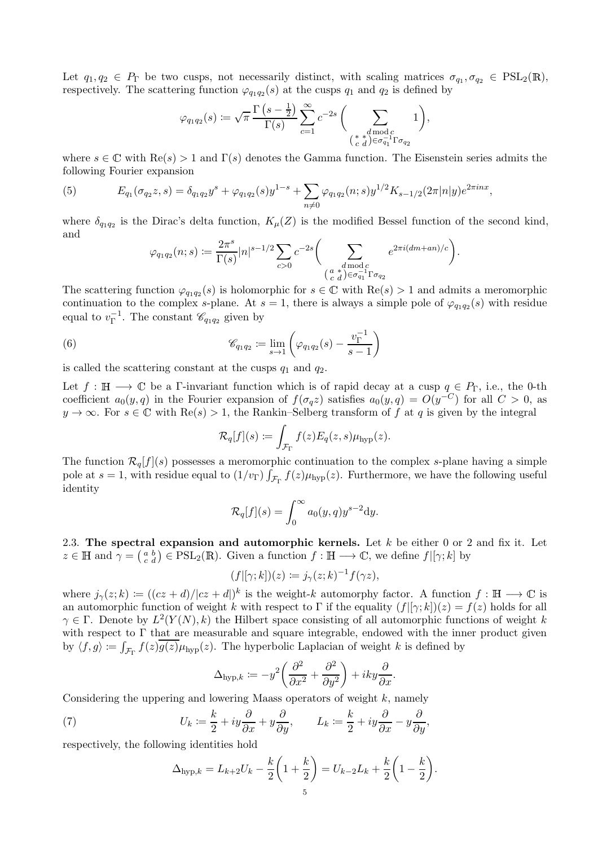Let  $q_1, q_2 \in P_\Gamma$  be two cusps, not necessarily distinct, with scaling matrices  $\sigma_{q_1}, \sigma_{q_2} \in \text{PSL}_2(\mathbb{R}),$ respectively. The scattering function  $\varphi_{q_1q_2}(s)$  at the cusps  $q_1$  and  $q_2$  is defined by

$$
\varphi_{q_1q_2}(s) \coloneqq \sqrt{\pi} \, \frac{\Gamma\left(s - \frac{1}{2}\right)}{\Gamma(s)} \sum_{c=1}^{\infty} c^{-2s} \, \bigg(\sum_{\substack{s \text{ d} \text{ mod } c \\ (s \ d) \in \sigma_{q_1}^{-1} \Gamma \sigma_{q_2}}} 1\bigg),
$$

where  $s \in \mathbb{C}$  with  $\text{Re}(s) > 1$  and  $\Gamma(s)$  denotes the Gamma function. The Eisenstein series admits the following Fourier expansion

<span id="page-4-2"></span>(5) 
$$
E_{q_1}(\sigma_{q_2}z,s) = \delta_{q_1q_2}y^s + \varphi_{q_1q_2}(s)y^{1-s} + \sum_{n \neq 0} \varphi_{q_1q_2}(n;s)y^{1/2}K_{s-1/2}(2\pi|n|y)e^{2\pi i nx},
$$

where  $\delta_{q_1q_2}$  is the Dirac's delta function,  $K_\mu(Z)$  is the modified Bessel function of the second kind, and

$$
\varphi_{q_1q_2}(n;s) := \frac{2\pi^s}{\Gamma(s)}|n|^{s-1/2} \sum_{c>0} c^{-2s} \Bigg(\sum_{\substack{d \bmod c \\ (c \ d \ b \in \sigma_{q_1}^{-1} \Gamma \sigma_{q_2}}} e^{2\pi i (dm +an)/c}\Bigg)
$$

.

The scattering function  $\varphi_{q_1q_2}(s)$  is holomorphic for  $s \in \mathbb{C}$  with  $\text{Re}(s) > 1$  and admits a meromorphic continuation to the complex s-plane. At  $s = 1$ , there is always a simple pole of  $\varphi_{q_1q_2}(s)$  with residue equal to  $v_{\Gamma}^{-1}$  $\Gamma^{-1}$ . The constant  $\mathscr{C}_{q_1q_2}$  given by

<span id="page-4-0"></span>(6) 
$$
\mathscr{C}_{q_1q_2} \coloneqq \lim_{s \to 1} \left( \varphi_{q_1q_2}(s) - \frac{v_{\Gamma}^{-1}}{s - 1} \right)
$$

is called the scattering constant at the cusps  $q_1$  and  $q_2$ .

Let  $f : \mathbb{H} \longrightarrow \mathbb{C}$  be a Γ-invariant function which is of rapid decay at a cusp  $q \in P_{\Gamma}$ , i.e., the 0-th coefficient  $a_0(y,q)$  in the Fourier expansion of  $f(\sigma_q z)$  satisfies  $a_0(y,q) = O(y^{-C})$  for all  $C > 0$ , as  $y \to \infty$ . For  $s \in \mathbb{C}$  with  $\text{Re}(s) > 1$ , the Rankin–Selberg transform of f at q is given by the integral

$$
\mathcal{R}_q[f](s) \coloneqq \int_{\mathcal{F}_{\Gamma}} f(z) E_q(z, s) \mu_{\text{hyp}}(z).
$$

The function  $\mathcal{R}_q[f](s)$  possesses a meromorphic continuation to the complex s-plane having a simple pole at  $s = 1$ , with residue equal to  $(1/v_{\Gamma}) \int_{\mathcal{F}_{\Gamma}} f(z) \mu_{\text{hyp}}(z)$ . Furthermore, we have the following useful identity

$$
\mathcal{R}_q[f](s) = \int_0^\infty a_0(y, q) y^{s-2} dy.
$$

<span id="page-4-3"></span>2.3. The spectral expansion and automorphic kernels. Let  $k$  be either 0 or 2 and fix it. Let  $z \in \mathbb{H}$  and  $\gamma = \begin{pmatrix} a & b \\ c & d \end{pmatrix} \in \text{PSL}_2(\mathbb{R})$ . Given a function  $f : \mathbb{H} \longrightarrow \mathbb{C}$ , we define  $f|[\gamma; k]$  by

$$
(f|[\gamma;k])(z) := j_{\gamma}(z;k)^{-1} f(\gamma z),
$$

where  $j_{\gamma}(z;k) := ((cz+d)/|cz+d|)^{k}$  is the weight-k automorphy factor. A function  $f : \mathbb{H} \longrightarrow \mathbb{C}$  is an automorphic function of weight k with respect to  $\Gamma$  if the equality  $(f|[\gamma; k])(z) = f(z)$  holds for all  $\gamma \in \Gamma$ . Denote by  $L^2(Y(N), k)$  the Hilbert space consisting of all automorphic functions of weight k with respect to  $\Gamma$  that are measurable and square integrable, endowed with the inner product given by  $\langle f, g \rangle := \int_{\mathcal{F}_{\Gamma}} f(z) \overline{g(z)} \mu_{\text{hyp}}(z)$ . The hyperbolic Laplacian of weight k is defined by

$$
\Delta_{\text{hyp},k} := -y^2 \left( \frac{\partial^2}{\partial x^2} + \frac{\partial^2}{\partial y^2} \right) + iky \frac{\partial}{\partial x}.
$$

Considering the uppering and lowering Maass operators of weight  $k$ , namely

<span id="page-4-1"></span>(7) 
$$
U_k := \frac{k}{2} + iy\frac{\partial}{\partial x} + y\frac{\partial}{\partial y}, \qquad L_k := \frac{k}{2} + iy\frac{\partial}{\partial x} - y\frac{\partial}{\partial y},
$$

respectively, the following identities hold

$$
\Delta_{\text{hyp},k} = L_{k+2}U_k - \frac{k}{2}\left(1 + \frac{k}{2}\right) = U_{k-2}L_k + \frac{k}{2}\left(1 - \frac{k}{2}\right).
$$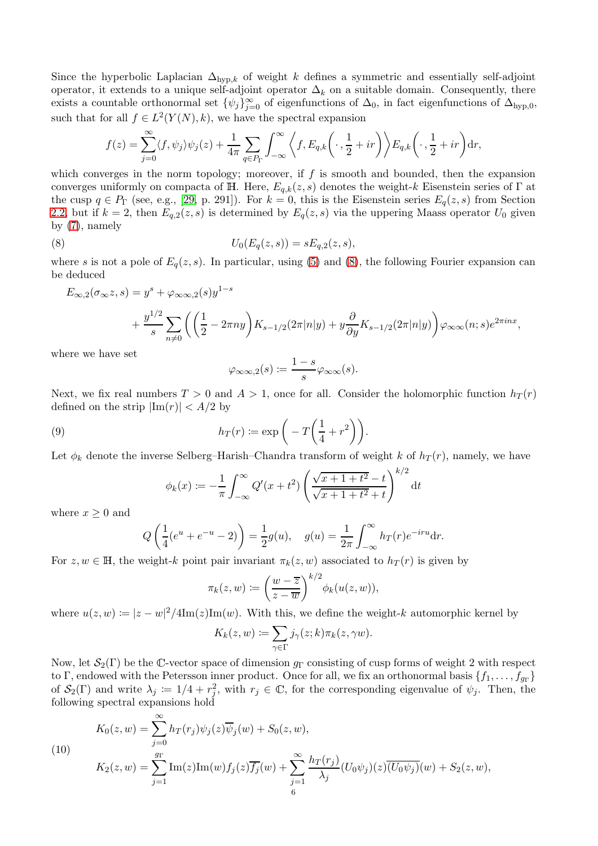Since the hyperbolic Laplacian  $\Delta_{\text{hyp},k}$  of weight k defines a symmetric and essentially self-adjoint operator, it extends to a unique self-adjoint operator  $\Delta_k$  on a suitable domain. Consequently, there exists a countable orthonormal set  $\{\psi_j\}_{j=0}^{\infty}$  of eigenfunctions of  $\Delta_0$ , in fact eigenfunctions of  $\Delta_{\text{hyp},0}$ , such that for all  $f \in L^2(Y(N), k)$ , we have the spectral expansion

$$
f(z) = \sum_{j=0}^{\infty} \langle f, \psi_j \rangle \psi_j(z) + \frac{1}{4\pi} \sum_{q \in P_{\Gamma}} \int_{-\infty}^{\infty} \left\langle f, E_{q,k} \left( \cdot, \frac{1}{2} + ir \right) \right\rangle E_{q,k} \left( \cdot, \frac{1}{2} + ir \right) dr,
$$

which converges in the norm topology; moreover, if  $f$  is smooth and bounded, then the expansion converges uniformly on compacta of H. Here,  $E_{q,k}(z, s)$  denotes the weight-k Eisenstein series of  $\Gamma$  at the cusp  $q \in P_{\Gamma}$  (see, e.g., [\[29,](#page-27-10) p. 291]). For  $k = 0$ , this is the Eisenstein series  $E_q(z, s)$  from Section [2.2,](#page-3-0) but if  $k = 2$ , then  $E_{q,2}(z, s)$  is determined by  $E_q(z, s)$  via the uppering Maass operator  $U_0$  given by [\(7\)](#page-4-1), namely

<span id="page-5-0"></span>(8) 
$$
U_0(E_q(z,s)) = sE_{q,2}(z,s),
$$

where s is not a pole of  $E_q(z, s)$ . In particular, using [\(5\)](#page-4-2) and [\(8\)](#page-5-0), the following Fourier expansion can be deduced

$$
E_{\infty,2}(\sigma_{\infty}z,s) = y^s + \varphi_{\infty\infty,2}(s)y^{1-s}
$$
  
+ 
$$
\frac{y^{1/2}}{s} \sum_{n\neq 0} \left( \left( \frac{1}{2} - 2\pi ny \right) K_{s-1/2}(2\pi |n|y) + y \frac{\partial}{\partial y} K_{s-1/2}(2\pi |n|y) \right) \varphi_{\infty\infty}(n;s) e^{2\pi inx},
$$

where we have set

$$
\varphi_{\infty,\infty,2}(s) \coloneqq \frac{1-s}{s} \varphi_{\infty,\infty}(s).
$$

Next, we fix real numbers  $T > 0$  and  $A > 1$ , once for all. Consider the holomorphic function  $h_T(r)$ defined on the strip  $|\text{Im}(r)| < A/2$  by

<span id="page-5-2"></span>(9) 
$$
h_T(r) := \exp\left(-T\left(\frac{1}{4} + r^2\right)\right).
$$

Let  $\phi_k$  denote the inverse Selberg–Harish–Chandra transform of weight k of  $h_T(r)$ , namely, we have

$$
\phi_k(x) := -\frac{1}{\pi} \int_{-\infty}^{\infty} Q'(x+t^2) \left( \frac{\sqrt{x+1+t^2} - t}{\sqrt{x+1+t^2} + t} \right)^{k/2} dt
$$

where  $x \geq 0$  and

<span id="page-5-1"></span> $($ 

$$
Q\left(\frac{1}{4}(e^u + e^{-u} - 2)\right) = \frac{1}{2}g(u), \quad g(u) = \frac{1}{2\pi} \int_{-\infty}^{\infty} h_T(r)e^{-iru}dr.
$$

For  $z, w \in \mathbb{H}$ , the weight-k point pair invariant  $\pi_k(z, w)$  associated to  $h_T(r)$  is given by

$$
\pi_k(z, w) := \left(\frac{w - \overline{z}}{z - \overline{w}}\right)^{k/2} \phi_k(u(z, w)),
$$

where  $u(z, w) \coloneqq |z - w|^2 / 4\mathrm{Im}(z) \mathrm{Im}(w)$ . With this, we define the weight-k automorphic kernel by

$$
K_k(z, w) \coloneqq \sum_{\gamma \in \Gamma} j_{\gamma}(z; k) \pi_k(z, \gamma w).
$$

Now, let  $\mathcal{S}_2(\Gamma)$  be the C-vector space of dimension  $g_{\Gamma}$  consisting of cusp forms of weight 2 with respect to Γ, endowed with the Petersson inner product. Once for all, we fix an orthonormal basis  $\{f_1, \ldots, f_{g_{\Gamma}}\}$ of  $S_2(\Gamma)$  and write  $\lambda_j := 1/4 + r_j^2$ , with  $r_j \in \mathbb{C}$ , for the corresponding eigenvalue of  $\psi_j$ . Then, the following spectral expansions hold

10)  
\n
$$
K_0(z, w) = \sum_{j=0}^{\infty} h_T(r_j) \psi_j(z) \overline{\psi}_j(w) + S_0(z, w),
$$
\n
$$
K_2(z, w) = \sum_{j=1}^{g} \text{Im}(z) \text{Im}(w) f_j(z) \overline{f_j(w)} + \sum_{j=1}^{\infty} \frac{h_T(r_j)}{\lambda_j} (U_0 \psi_j)(z) \overline{(U_0 \psi_j)}(w) + S_2(z, w),
$$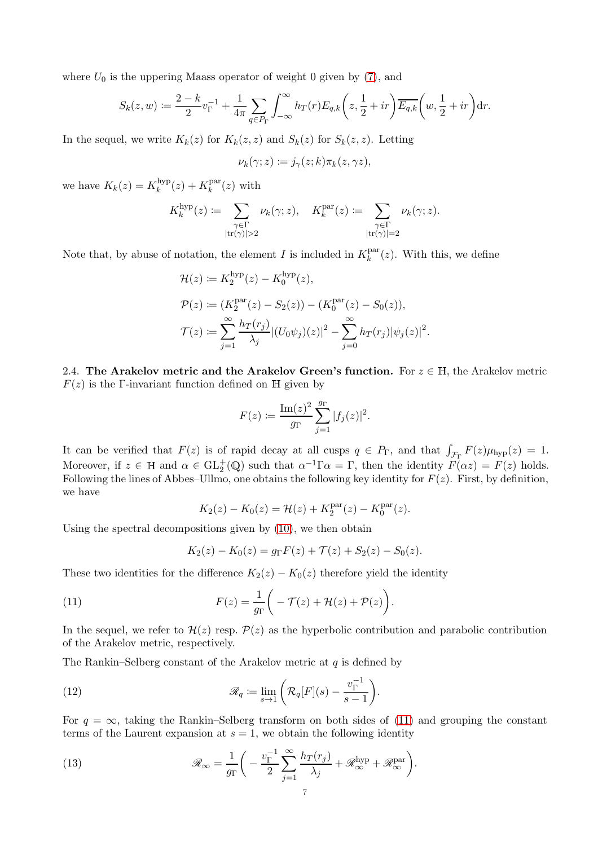where  $U_0$  is the uppering Maass operator of weight 0 given by  $(7)$ , and

$$
S_k(z, w) := \frac{2 - k}{2} v_{\Gamma}^{-1} + \frac{1}{4\pi} \sum_{q \in P_{\Gamma}} \int_{-\infty}^{\infty} h_T(r) E_{q,k}\left(z, \frac{1}{2} + ir\right) \overline{E_{q,k}}\left(w, \frac{1}{2} + ir\right) dr.
$$

In the sequel, we write  $K_k(z)$  for  $K_k(z, z)$  and  $S_k(z)$  for  $S_k(z, z)$ . Letting

$$
\nu_k(\gamma; z) := j_{\gamma}(z; k) \pi_k(z, \gamma z),
$$

we have  $K_k(z) = K_k^{\text{hyp}}$  $\binom{hyp}{k}(z) + K_k^{\text{par}}$  $k^{\text{par}}(z)$  with

$$
K_k^{\text{hyp}}(z) := \sum_{\substack{\gamma \in \Gamma \\ |\text{tr}(\gamma)| > 2}} \nu_k(\gamma; z), \quad K_k^{\text{par}}(z) := \sum_{\substack{\gamma \in \Gamma \\ |\text{tr}(\gamma)| = 2}} \nu_k(\gamma; z).
$$

Note that, by abuse of notation, the element I is included in  $K_k^{\text{par}}$  $\int_k^{\text{par}}(z)$ . With this, we define

$$
\mathcal{H}(z) := K_2^{\text{hyp}}(z) - K_0^{\text{hyp}}(z),
$$
  
\n
$$
\mathcal{P}(z) := (K_2^{\text{par}}(z) - S_2(z)) - (K_0^{\text{par}}(z) - S_0(z)),
$$
  
\n
$$
\mathcal{T}(z) := \sum_{j=1}^{\infty} \frac{h_T(r_j)}{\lambda_j} |(U_0 \psi_j)(z)|^2 - \sum_{j=0}^{\infty} h_T(r_j) |\psi_j(z)|^2.
$$

<span id="page-6-3"></span>2.4. The Arakelov metric and the Arakelov Green's function. For  $z \in \mathbb{H}$ , the Arakelov metric  $F(z)$  is the Γ-invariant function defined on H given by

$$
F(z) := \frac{\mathrm{Im}(z)^2}{g_{\Gamma}} \sum_{j=1}^{g_{\Gamma}} |f_j(z)|^2.
$$

It can be verified that  $F(z)$  is of rapid decay at all cusps  $q \in P_{\Gamma}$ , and that  $\int_{\mathcal{F}_{\Gamma}} F(z) \mu_{\text{hyp}}(z) = 1$ . Moreover, if  $z \in \mathbb{H}$  and  $\alpha \in \mathrm{GL}_2^+(\mathbb{Q})$  such that  $\alpha^{-1}\Gamma\alpha = \Gamma$ , then the identity  $F(\alpha z) = F(z)$  holds. Following the lines of Abbes–Ullmo, one obtains the following key identity for  $F(z)$ . First, by definition, we have

$$
K_2(z) - K_0(z) = \mathcal{H}(z) + K_2^{\text{par}}(z) - K_0^{\text{par}}(z).
$$

Using the spectral decompositions given by [\(10\)](#page-5-1), we then obtain

$$
K_2(z) - K_0(z) = g_{\Gamma} F(z) + \mathcal{T}(z) + S_2(z) - S_0(z).
$$

These two identities for the difference  $K_2(z) - K_0(z)$  therefore yield the identity

<span id="page-6-2"></span>(11) 
$$
F(z) = \frac{1}{g_{\Gamma}} \bigg( -\mathcal{T}(z) + \mathcal{H}(z) + \mathcal{P}(z) \bigg).
$$

In the sequel, we refer to  $\mathcal{H}(z)$  resp.  $\mathcal{P}(z)$  as the hyperbolic contribution and parabolic contribution of the Arakelov metric, respectively.

The Rankin–Selberg constant of the Arakelov metric at  $q$  is defined by

<span id="page-6-0"></span>(12) 
$$
\mathscr{R}_q \coloneqq \lim_{s \to 1} \left( \mathcal{R}_q[F](s) - \frac{v_{\Gamma}^{-1}}{s-1} \right).
$$

For  $q = \infty$ , taking the Rankin–Selberg transform on both sides of [\(11\)](#page-6-2) and grouping the constant terms of the Laurent expansion at  $s = 1$ , we obtain the following identity

<span id="page-6-1"></span>(13) 
$$
\mathscr{R}_{\infty} = \frac{1}{g_{\Gamma}} \bigg( -\frac{v_{\Gamma}^{-1}}{2} \sum_{j=1}^{\infty} \frac{h_T(r_j)}{\lambda_j} + \mathscr{R}_{\infty}^{\text{hyp}} + \mathscr{R}_{\infty}^{\text{par}} \bigg).
$$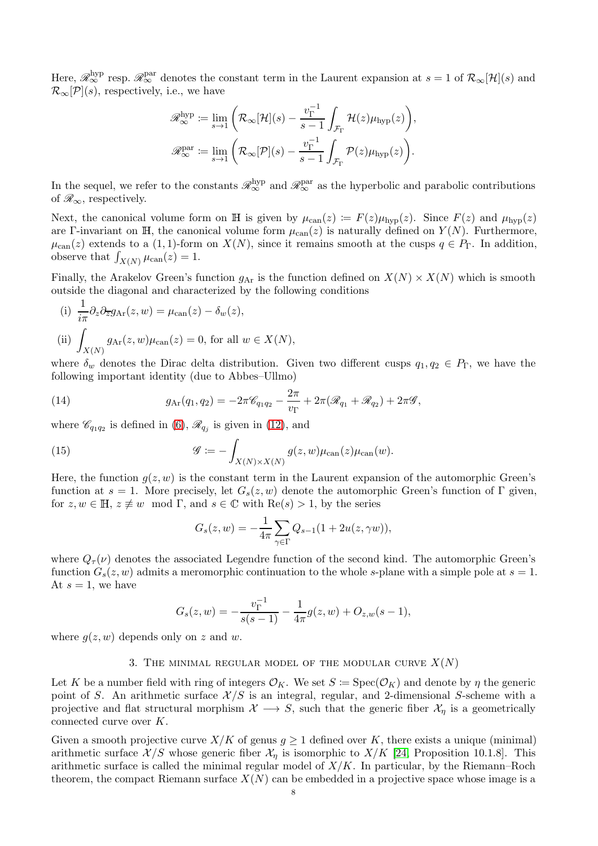Here,  $\mathscr{R}_{\infty}^{\text{hyp}}$  resp.  $\mathscr{R}_{\infty}^{\text{par}}$  denotes the constant term in the Laurent expansion at  $s = 1$  of  $\mathcal{R}_{\infty}[\mathcal{H}](s)$  and  $\mathcal{R}_{\infty}[\mathcal{P}](s)$ , respectively, i.e., we have

$$
\mathscr{R}_{\infty}^{\mathrm{hyp}} := \lim_{s \to 1} \left( \mathcal{R}_{\infty}[\mathcal{H}](s) - \frac{v_{\Gamma}^{-1}}{s - 1} \int_{\mathcal{F}_{\Gamma}} \mathcal{H}(z) \mu_{\mathrm{hyp}}(z) \right),
$$
  

$$
\mathscr{R}_{\infty}^{\mathrm{par}} := \lim_{s \to 1} \left( \mathcal{R}_{\infty}[\mathcal{P}](s) - \frac{v_{\Gamma}^{-1}}{s - 1} \int_{\mathcal{F}_{\Gamma}} \mathcal{P}(z) \mu_{\mathrm{hyp}}(z) \right).
$$

In the sequel, we refer to the constants  $\mathscr{R}_{\infty}^{\text{hyp}}$  and  $\mathscr{R}_{\infty}^{\text{par}}$  as the hyperbolic and parabolic contributions of  $\mathcal{R}_{\infty}$ , respectively.

Next, the canonical volume form on H is given by  $\mu_{can}(z) := F(z)\mu_{hvp}(z)$ . Since  $F(z)$  and  $\mu_{hvp}(z)$ are Γ-invariant on H, the canonical volume form  $\mu_{can}(z)$  is naturally defined on  $Y(N)$ . Furthermore,  $\mu_{\text{can}}(z)$  extends to a  $(1, 1)$ -form on  $X(N)$ , since it remains smooth at the cusps  $q \in P_{\Gamma}$ . In addition, observe that  $\int_{X(N)} \mu_{\text{can}}(z) = 1$ .

Finally, the Arakelov Green's function  $g_{\text{Ar}}$  is the function defined on  $X(N) \times X(N)$  which is smooth outside the diagonal and characterized by the following conditions

(i) 
$$
\frac{1}{i\pi} \partial_z \partial_{\overline{z}} g_{\text{Ar}}(z, w) = \mu_{\text{can}}(z) - \delta_w(z),
$$
  
\n(ii) 
$$
\int_{X(N)} g_{\text{Ar}}(z, w) \mu_{\text{can}}(z) = 0, \text{ for all } w \in X(N),
$$

where  $\delta_w$  denotes the Dirac delta distribution. Given two different cusps  $q_1, q_2 \in P_\Gamma$ , we have the following important identity (due to Abbes–Ullmo)

<span id="page-7-1"></span>(14) 
$$
g_{\text{Ar}}(q_1, q_2) = -2\pi \mathscr{C}_{q_1q_2} - \frac{2\pi}{v_{\Gamma}} + 2\pi (\mathscr{R}_{q_1} + \mathscr{R}_{q_2}) + 2\pi \mathscr{G},
$$

where  $\mathscr{C}_{q_1q_2}$  is defined in [\(6\)](#page-4-0),  $\mathscr{R}_{q_j}$  is given in [\(12\)](#page-6-0), and

<span id="page-7-0"></span>(15) 
$$
\mathscr{G} := -\int_{X(N)\times X(N)} g(z,w) \mu_{\text{can}}(z) \mu_{\text{can}}(w).
$$

Here, the function  $q(z, w)$  is the constant term in the Laurent expansion of the automorphic Green's function at  $s = 1$ . More precisely, let  $G_s(z, w)$  denote the automorphic Green's function of Γ given, for  $z, w \in \mathbb{H}, z \not\equiv w \mod \Gamma$ , and  $s \in \mathbb{C}$  with  $\text{Re}(s) > 1$ , by the series

$$
G_s(z, w) = -\frac{1}{4\pi} \sum_{\gamma \in \Gamma} Q_{s-1}(1 + 2u(z, \gamma w)),
$$

where  $Q_{\tau}(\nu)$  denotes the associated Legendre function of the second kind. The automorphic Green's function  $G_s(z, w)$  admits a meromorphic continuation to the whole s-plane with a simple pole at  $s = 1$ . At  $s = 1$ , we have

$$
G_s(z, w) = -\frac{v_{\Gamma}^{-1}}{s(s-1)} - \frac{1}{4\pi}g(z, w) + O_{z,w}(s-1),
$$

where  $g(z, w)$  depends only on z and w.

### 3. THE MINIMAL REGULAR MODEL OF THE MODULAR CURVE  $X(N)$

Let K be a number field with ring of integers  $\mathcal{O}_K$ . We set  $S := \text{Spec}(\mathcal{O}_K)$  and denote by  $\eta$  the generic point of S. An arithmetic surface  $\mathcal{X}/S$  is an integral, regular, and 2-dimensional S-scheme with a projective and flat structural morphism  $\mathcal{X} \longrightarrow S$ , such that the generic fiber  $\mathcal{X}_n$  is a geometrically connected curve over K.

Given a smooth projective curve  $X/K$  of genus  $g \ge 1$  defined over K, there exists a unique (minimal) arithmetic surface  $\mathcal{X}/S$  whose generic fiber  $\mathcal{X}_\eta$  is isomorphic to  $X/K$  [\[24,](#page-27-11) Proposition 10.1.8]. This arithmetic surface is called the minimal regular model of  $X/K$ . In particular, by the Riemann–Roch theorem, the compact Riemann surface  $X(N)$  can be embedded in a projective space whose image is a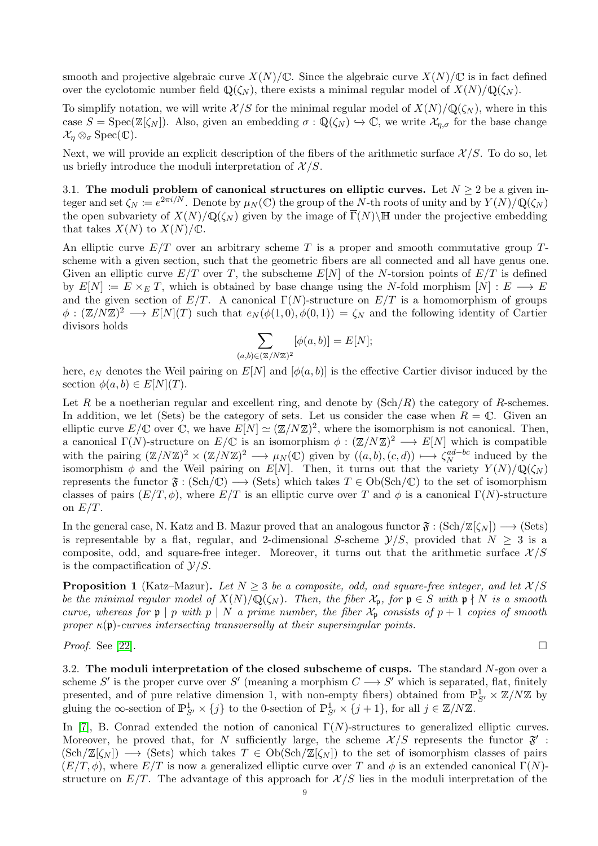smooth and projective algebraic curve  $X(N)/\mathbb{C}$ . Since the algebraic curve  $X(N)/\mathbb{C}$  is in fact defined over the cyclotomic number field  $\mathbb{Q}(\zeta_N)$ , there exists a minimal regular model of  $X(N)/\mathbb{Q}(\zeta_N)$ .

To simplify notation, we will write  $\mathcal{X}/S$  for the minimal regular model of  $X(N)/\mathbb{Q}(\zeta_N)$ , where in this case  $S = \text{Spec}(\mathbb{Z}[\zeta_N])$ . Also, given an embedding  $\sigma : \mathbb{Q}(\zeta_N) \to \mathbb{C}$ , we write  $\mathcal{X}_{n,\sigma}$  for the base change  $\mathcal{X}_{\eta} \otimes_{\sigma} \text{Spec}(\mathbb{C}).$ 

Next, we will provide an explicit description of the fibers of the arithmetic surface  $\mathcal{X}/S$ . To do so, let us briefly introduce the moduli interpretation of  $\mathcal{X}/S$ .

3.1. The moduli problem of canonical structures on elliptic curves. Let  $N \geq 2$  be a given integer and set  $\zeta_N := e^{2\pi i/N}$ . Denote by  $\mu_N(\mathbb{C})$  the group of the N-th roots of unity and by  $Y(N)/\mathbb{Q}(\zeta_N)$ the open subvariety of  $X(N)/\mathbb{Q}(\zeta_N)$  given by the image of  $\overline{\Gamma}(N)\backslash\mathbb{H}$  under the projective embedding that takes  $X(N)$  to  $X(N)/\mathbb{C}$ .

An elliptic curve  $E/T$  over an arbitrary scheme T is a proper and smooth commutative group  $T$ scheme with a given section, such that the geometric fibers are all connected and all have genus one. Given an elliptic curve  $E/T$  over T, the subscheme  $E[N]$  of the N-torsion points of  $E/T$  is defined by  $E[N] \coloneqq E \times_E T$ , which is obtained by base change using the N-fold morphism  $[N] : E \longrightarrow E$ and the given section of  $E/T$ . A canonical  $\Gamma(N)$ -structure on  $E/T$  is a homomorphism of groups  $\phi: (\mathbb{Z}/N\mathbb{Z})^2 \longrightarrow E[N](T)$  such that  $e_N(\phi(1,0), \phi(0,1)) = \zeta_N$  and the following identity of Cartier divisors holds

$$
\sum_{b\in(\mathbb{Z}/N\mathbb{Z})^2} [\phi(a,b)] = E[N];
$$

here,  $e_N$  denotes the Weil pairing on  $E[N]$  and  $[\phi(a, b)]$  is the effective Cartier divisor induced by the section  $\phi(a, b) \in E[N](T)$ .

 $(a,$ 

Let R be a noetherian regular and excellent ring, and denote by  $(Sch/R)$  the category of R-schemes. In addition, we let (Sets) be the category of sets. Let us consider the case when  $R = \mathbb{C}$ . Given an elliptic curve  $E/\mathbb{C}$  over  $\mathbb{C}$ , we have  $E[N] \simeq (\mathbb{Z}/N\mathbb{Z})^2$ , where the isomorphism is not canonical. Then, a canonical  $\Gamma(N)$ -structure on  $E/\mathbb{C}$  is an isomorphism  $\phi: (\mathbb{Z}/N\mathbb{Z})^2 \longrightarrow E[N]$  which is compatible with the pairing  $(\mathbb{Z}/N\mathbb{Z})^2 \times (\mathbb{Z}/N\mathbb{Z})^2 \longrightarrow \mu_N(\mathbb{C})$  given by  $((a, b), (c, d)) \longmapsto \zeta_N^{ad-bc}$  $\frac{a^{ad-bc}}{N}$  induced by the isomorphism  $\phi$  and the Weil pairing on E[N]. Then, it turns out that the variety  $Y(N)/\mathbb{Q}(\zeta_N)$ represents the functor  $\mathfrak{F} : (\text{Sch}/\mathbb{C}) \longrightarrow (\text{Sets})$  which takes  $T \in \text{Ob}(\text{Sch}/\mathbb{C})$  to the set of isomorphism classes of pairs  $(E/T, \phi)$ , where  $E/T$  is an elliptic curve over T and  $\phi$  is a canonical  $\Gamma(N)$ -structure on  $E/T$ .

In the general case, N. Katz and B. Mazur proved that an analogous functor  $\mathfrak{F} : (\text{Sch}/\mathbb{Z}[\zeta_N]) \longrightarrow (\text{Sets})$ is representable by a flat, regular, and 2-dimensional S-scheme  $\mathcal{Y}/S$ , provided that  $N \geq 3$  is a composite, odd, and square-free integer. Moreover, it turns out that the arithmetic surface  $\mathcal{X}/S$ is the compactification of  $\mathcal{Y}/S$ .

<span id="page-8-0"></span>**Proposition 1** (Katz–Mazur). Let  $N \geq 3$  be a composite, odd, and square-free integer, and let  $\mathcal{X}/S$ *be the minimal regular model of*  $X(N)/\mathbb{Q}(\zeta_N)$ *. Then, the fiber*  $\mathcal{X}_n$ *, for*  $\mathfrak{p} \in S$  *with*  $\mathfrak{p} \nmid N$  *is a smooth curve, whereas for*  $\mathfrak{p} \mid p$  *with*  $p \mid N$  *a prime number, the fiber*  $\mathcal{X}_{\mathfrak{p}}$  *consists of*  $p + 1$  *copies of smooth proper*  $\kappa(\mathfrak{p})$ -curves intersecting transversally at their supersingular points.

*Proof.* See [\[22\]](#page-27-12).

3.2. The moduli interpretation of the closed subscheme of cusps. The standard  $N$ -gon over a scheme S' is the proper curve over S' (meaning a morphism  $C \longrightarrow S'$  which is separated, flat, finitely presented, and of pure relative dimension 1, with non-empty fibers) obtained from  $\mathbb{P}_{S'}^1 \times \mathbb{Z}/N\mathbb{Z}$  by gluing the  $\infty$ -section of  $\mathbb{P}^1_{S'} \times \{j\}$  to the 0-section of  $\mathbb{P}^1_{S'} \times \{j+1\}$ , for all  $j \in \mathbb{Z}/N\mathbb{Z}$ .

In [\[7\]](#page-26-7), B. Conrad extended the notion of canonical  $\Gamma(N)$ -structures to generalized elliptic curves. Moreover, he proved that, for N sufficiently large, the scheme  $\mathcal{X}/S$  represents the functor  $\mathfrak{F}'$ :  $(Sch/\mathbb{Z}[\zeta_N]) \longrightarrow (Sets)$  which takes  $T \in Ob(Sch/\mathbb{Z}[\zeta_N])$  to the set of isomorphism classes of pairs  $(E/T, \phi)$ , where  $E/T$  is now a generalized elliptic curve over T and  $\phi$  is an extended canonical  $\Gamma(N)$ structure on  $E/T$ . The advantage of this approach for  $\mathcal{X}/S$  lies in the moduli interpretation of the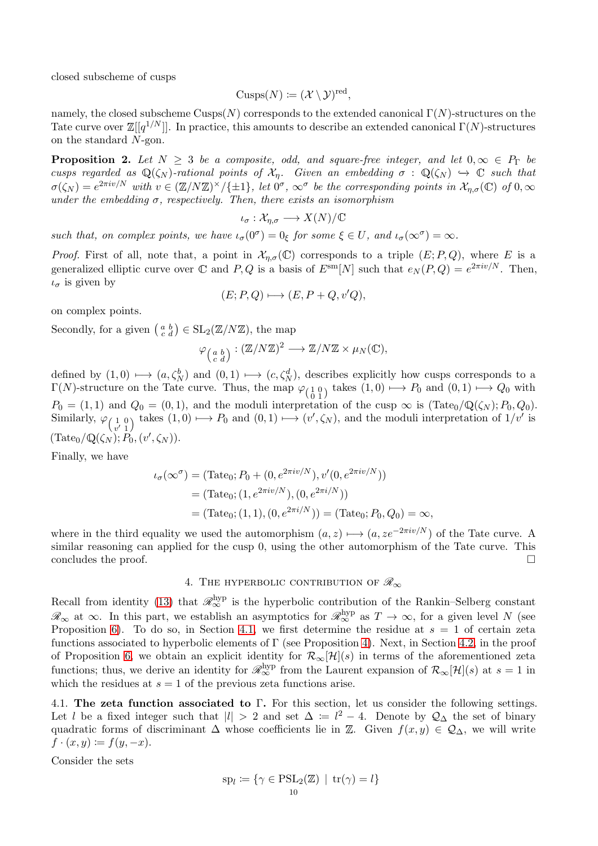closed subscheme of cusps

$$
Cusps(N) := (\mathcal{X} \setminus \mathcal{Y})^{\text{red}},
$$

namely, the closed subscheme Cusps(N) corresponds to the extended canonical  $\Gamma(N)$ -structures on the Tate curve over  $\mathbb{Z}[[q^{1/N}]]$ . In practice, this amounts to describe an extended canonical  $\Gamma(N)$ -structures on the standard N-gon.

<span id="page-9-0"></span>**Proposition 2.** Let  $N \geq 3$  be a composite, odd, and square-free integer, and let  $0, \infty \in P_{\Gamma}$  be *cusps regarded as*  $\mathbb{Q}(\zeta_N)$ -rational points of  $\mathcal{X}_n$ . Given an embedding  $\sigma : \mathbb{Q}(\zeta_N) \hookrightarrow \mathbb{C}$  *such that*  $\sigma(\zeta_N) = e^{2\pi i v/N}$  *with*  $v \in (\mathbb{Z}/N\mathbb{Z})^{\times}/\{\pm 1\}$ , let  $0^{\sigma}$ ,  $\infty^{\sigma}$  be the corresponding points in  $\mathcal{X}_{\eta,\sigma}(\mathbb{C})$  of  $0,\infty$ *under the embedding*  $\sigma$ , *respectively. Then, there exists an isomorphism* 

$$
\iota_{\sigma}:\mathcal{X}_{\eta,\sigma}\longrightarrow X(N)/\mathbb{C}
$$

*such that, on complex points, we have*  $\iota_{\sigma}(0^{\sigma}) = 0_{\xi}$  *for some*  $\xi \in U$ *, and*  $\iota_{\sigma}(\infty^{\sigma}) = \infty$ *.* 

*Proof.* First of all, note that, a point in  $\mathcal{X}_{\eta,\sigma}(\mathbb{C})$  corresponds to a triple  $(E; P, Q)$ , where E is a generalized elliptic curve over  $\mathbb C$  and  $P, Q$  is a basis of  $E^{\text{sm}}[N]$  such that  $e_N(P, Q) = e^{2\pi i v/N}$ . Then,  $\iota_{\sigma}$  is given by

$$
(E; P, Q) \longmapsto (E, P + Q, v'Q),
$$

on complex points.

Secondly, for a given  $\left(\begin{smallmatrix} a & b \\ c & d \end{smallmatrix}\right) \in SL_2(\mathbb{Z}/N\mathbb{Z})$ , the map

$$
\varphi_{\left(\begin{smallmatrix} a & b \\ c & d \end{smallmatrix}\right)} : (\mathbb{Z}/N\mathbb{Z})^2 \longrightarrow \mathbb{Z}/N\mathbb{Z} \times \mu_N(\mathbb{C}),
$$

defined by  $(1,0) \longmapsto (a,\zeta_N^b)$  and  $(0,1) \longmapsto (c,\zeta_N^d)$ , describes explicitly how cusps corresponds to a  $\Gamma(N)$ -structure on the Tate curve. Thus, the map  $\varphi_{\left(\begin{array}{c} 1 & 0 \\ 0 & 1 \end{array}\right)}$  takes  $(1,0) \longmapsto P_0$  and  $(0,1) \longmapsto Q_0$  with  $P_0 = (1, 1)$  and  $Q_0 = (0, 1)$ , and the moduli interpretation of the cusp  $\infty$  is  $(\text{Tate}_0/\mathbb{Q}(\zeta_N); P_0, Q_0)$ . Similarly,  $\varphi_{\begin{pmatrix} 1 & 0 \\ v' & 1 \end{pmatrix}}$  takes  $(1,0) \mapsto P_0$  and  $(0,1) \mapsto (v', \zeta_N)$ , and the moduli interpretation of  $1/v'$  is  $(\text{Tate}_0/\mathbb{Q}(\zeta_N); P_0, (v', \zeta_N)).$ 

Finally, we have

$$
\iota_{\sigma}(\infty^{\sigma}) = (\text{Tate}_0; P_0 + (0, e^{2\pi i v/N}), v'(0, e^{2\pi i v/N}))
$$
  
= (\text{Tate}\_0; (1, e^{2\pi i v/N}), (0, e^{2\pi i/N}))  
= (\text{Tate}\_0; (1, 1), (0, e^{2\pi i/N})) = (\text{Tate}\_0; P\_0, Q\_0) = \infty,

where in the third equality we used the automorphism  $(a, z) \mapsto (a, ze^{-2\pi i v/N})$  of the Tate curve. A similar reasoning can applied for the cusp 0, using the other automorphism of the Tate curve. This concludes the proof.

4. THE HYPERBOLIC CONTRIBUTION OF  $\mathscr{R}_{\infty}$ 

Recall from identity [\(13\)](#page-6-1) that  $\mathcal{R}_{\infty}^{\text{hyp}}$  is the hyperbolic contribution of the Rankin–Selberg constant  $\mathscr{R}_{\infty}$  at  $\infty$ . In this part, we establish an asymptotics for  $\mathscr{R}_{\infty}^{\text{hyp}}$  as  $T \to \infty$ , for a given level N (see Proposition [6\)](#page-13-0). To do so, in Section [4.1,](#page-9-1) we first determine the residue at  $s = 1$  of certain zeta functions associated to hyperbolic elements of Γ (see Proposition [4\)](#page-11-0). Next, in Section [4.2,](#page-12-0) in the proof of Proposition [6,](#page-13-0) we obtain an explicit identity for  $\mathcal{R}_{\infty}[\mathcal{H}](s)$  in terms of the aforementioned zeta functions; thus, we derive an identity for  $\mathcal{R}_{\infty}^{\text{hyp}}$  from the Laurent expansion of  $\mathcal{R}_{\infty}[\mathcal{H}](s)$  at  $s=1$  in which the residues at  $s = 1$  of the previous zeta functions arise.

<span id="page-9-1"></span>4.1. The zeta function associated to Γ. For this section, let us consider the following settings. Let l be a fixed integer such that  $|l| > 2$  and set  $\Delta := l^2 - 4$ . Denote by  $\mathcal{Q}_{\Delta}$  the set of binary quadratic forms of discriminant  $\Delta$  whose coefficients lie in Z. Given  $f(x, y) \in \mathcal{Q}_{\Delta}$ , we will write  $f \cdot (x, y) := f(y, -x).$ 

Consider the sets

$$
sp_l := \{ \gamma \in \mathrm{PSL}_2(\mathbb{Z}) \mid \mathrm{tr}(\gamma) = l \}
$$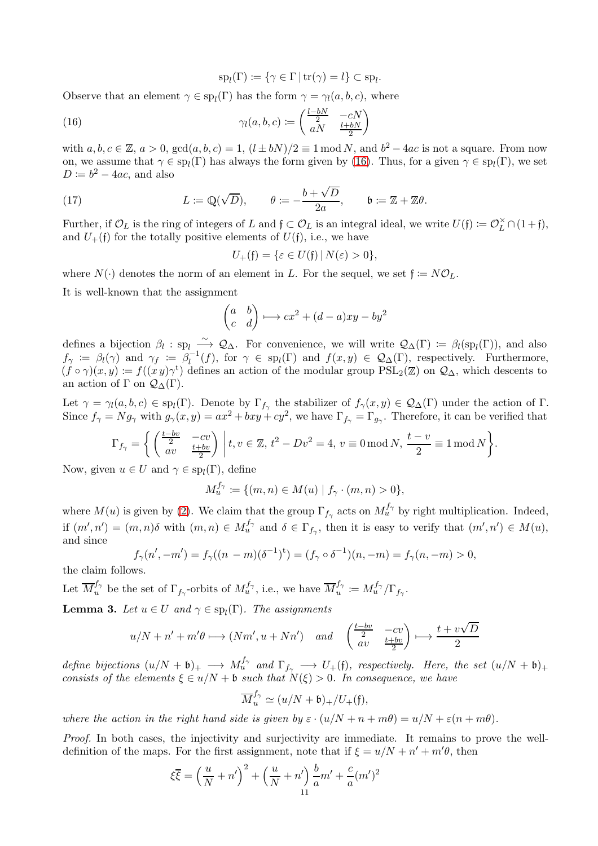$$
sp_l(\Gamma) := \{ \gamma \in \Gamma \mid \text{tr}(\gamma) = l \} \subset sp_l
$$

.

Observe that an element  $\gamma \in sp_l(\Gamma)$  has the form  $\gamma = \gamma_l(a, b, c)$ , where

<span id="page-10-0"></span>(16) 
$$
\gamma_l(a,b,c) := \begin{pmatrix} \frac{l-bN}{2} & -cN \\ aN & \frac{l+bN}{2} \end{pmatrix}
$$

with  $a, b, c \in \mathbb{Z}$ ,  $a > 0$ ,  $gcd(a, b, c) = 1$ ,  $(l \pm bN)/2 \equiv 1 \mod N$ , and  $b^2 - 4ac$  is not a square. From now on, we assume that  $\gamma \in sp_l(\Gamma)$  has always the form given by [\(16\)](#page-10-0). Thus, for a given  $\gamma \in sp_l(\Gamma)$ , we set  $D \coloneqq b^2 - 4ac$ , and also

<span id="page-10-1"></span>(17) 
$$
L \coloneqq \mathbb{Q}(\sqrt{D}), \qquad \theta \coloneqq -\frac{b+\sqrt{D}}{2a}, \qquad \mathfrak{b} \coloneqq \mathbb{Z} + \mathbb{Z}\theta.
$$

Further, if  $\mathcal{O}_L$  is the ring of integers of L and  $f \subset \mathcal{O}_L$  is an integral ideal, we write  $U(f) \coloneqq \mathcal{O}_L^{\times} \cap (1+f)$ , and  $U_{+}(\mathfrak{f})$  for the totally positive elements of  $U(\mathfrak{f})$ , i.e., we have

$$
U_{+}(\mathfrak{f})=\{\varepsilon\in U(\mathfrak{f})\,|\,N(\varepsilon)>0\},
$$

where  $N(\cdot)$  denotes the norm of an element in L. For the sequel, we set  $\mathfrak{f} := N\mathcal{O}_L$ .

It is well-known that the assignment

$$
\begin{pmatrix} a & b \\ c & d \end{pmatrix} \longmapsto cx^2 + (d-a)xy - by^2
$$

defines a bijection  $\beta_l : sp_l \longrightarrow Q_\Delta$ . For convenience, we will write  $\mathcal{Q}_\Delta(\Gamma) := \beta_l(sp_l(\Gamma))$ , and also  $f_\gamma \coloneqq \beta_l(\gamma)$  and  $\gamma_f \coloneqq \beta_l^{-1}$  $\mathcal{L}_l^{-1}(f)$ , for  $\gamma \in sp_l(\Gamma)$  and  $f(x, y) \in \mathcal{Q}_{\Delta}(\Gamma)$ , respectively. Furthermore,  $(f \circ \gamma)(x, y) := f((xy)\gamma^t)$  defines an action of the modular group  $PSL_2(\mathbb{Z})$  on  $\mathcal{Q}_\Delta$ , which descents to an action of  $\Gamma$  on  $\mathcal{Q}_{\Delta}(\Gamma)$ .

Let  $\gamma = \gamma_l(a, b, c) \in sp_l(\Gamma)$ . Denote by  $\Gamma_{f_\gamma}$  the stabilizer of  $f_\gamma(x, y) \in \mathcal{Q}_{\Delta}(\Gamma)$  under the action of  $\Gamma$ . Since  $f_{\gamma} = Ng_{\gamma}$  with  $g_{\gamma}(x, y) = ax^2 + bxy + cy^2$ , we have  $\Gamma_{f_{\gamma}} = \Gamma_{g_{\gamma}}$ . Therefore, it can be verified that

$$
\Gamma_{f_{\gamma}} = \left\{ \left( \frac{\frac{t - bv}{2}}{av} - \frac{cv}{\frac{t + bv}{2}} \right) \middle| t, v \in \mathbb{Z}, t^2 - Dv^2 = 4, v \equiv 0 \mod N, \frac{t - v}{2} \equiv 1 \mod N \right\}.
$$

Now, given  $u \in U$  and  $\gamma \in \text{sp}_l(\Gamma)$ , define

$$
M_u^{f_\gamma} := \{ (m, n) \in M(u) \mid f_\gamma \cdot (m, n) > 0 \},\
$$

where  $M(u)$  is given by [\(2\)](#page-3-1). We claim that the group  $\Gamma_{f_{\gamma}}$  acts on  $M_u^{f_{\gamma}}$  by right multiplication. Indeed, if  $(m', n') = (m, n) \delta$  with  $(m, n) \in M_u^{f_\gamma}$  and  $\delta \in \Gamma_{f_\gamma}$ , then it is easy to verify that  $(m', n') \in M(u)$ , and since

$$
f_{\gamma}(n', -m') = f_{\gamma}((n - m)(\delta^{-1})^{\mathsf{t}}) = (f_{\gamma} \circ \delta^{-1})(n, -m) = f_{\gamma}(n, -m) > 0,
$$

the claim follows.

Let  $\overline{M}_u^{f_\gamma}$  be the set of  $\Gamma_{f_\gamma}$ -orbits of  $M_u^{f_\gamma}$ , i.e., we have  $\overline{M}_u^{f_\gamma}$  $u^{f_\gamma} \coloneqq M_u^{f_\gamma} / \Gamma_{f_\gamma}.$ 

<span id="page-10-2"></span>**Lemma 3.** Let  $u \in U$  and  $\gamma \in \text{sp}_l(\Gamma)$ . The assignments

$$
u/N + n' + m'\theta \longmapsto (Nm', u + Nn') \quad and \quad \begin{pmatrix} \frac{t - bv}{2} & -cv \\ av & \frac{t + bv}{2} \end{pmatrix} \longmapsto \frac{t + v\sqrt{D}}{2}
$$

 $define \ bijections (u/N + b)_{+} \longrightarrow M_u^{f_{\gamma}} \text{ and } \Gamma_{f_{\gamma}} \longrightarrow U_{+}(\mathfrak{f}), \text{ respectively. Here, the set } (u/N + b)_{+}$ *consists of the elements*  $\xi \in u/N + \mathfrak{b}$  *such that*  $N(\xi) > 0$ *. In consequence, we have* 

$$
\overline{M}_u^{f_\gamma} \simeq (u/N + \mathfrak{b})_+/U_+(\mathfrak{f}),
$$

*where the action in the right hand side is given by*  $\varepsilon \cdot (u/N + n + m\theta) = u/N + \varepsilon (n + m\theta)$ .

*Proof.* In both cases, the injectivity and surjectivity are immediate. It remains to prove the welldefinition of the maps. For the first assignment, note that if  $\xi = u/N + n' + m'\theta$ , then

$$
\xi \overline{\xi} = \left(\frac{u}{N} + n'\right)^2 + \left(\frac{u}{N} + n'\right) \frac{b}{a} m' + \frac{c}{a} (m')^2
$$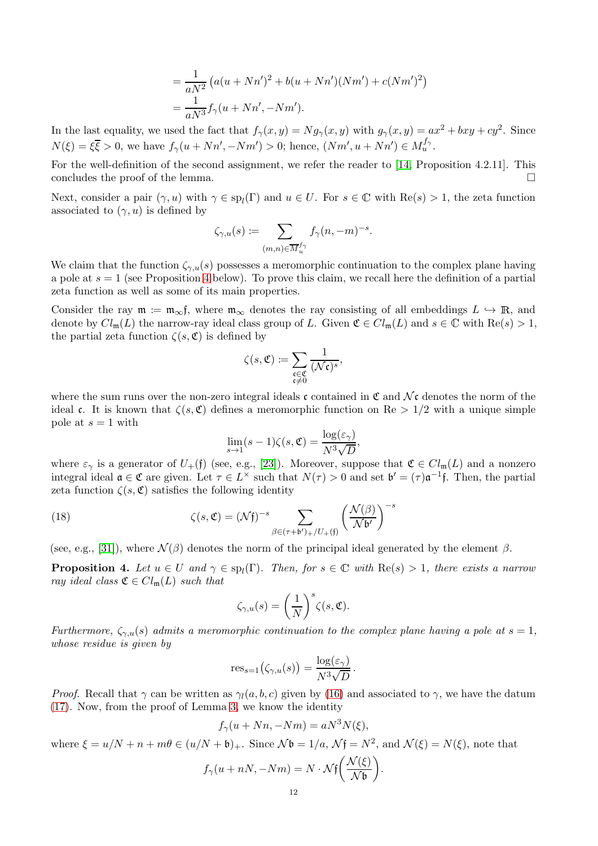$$
= \frac{1}{aN^2} (a(u + Nn')^2 + b(u + Nn')(Nm') + c(Nm')^2)
$$
  
= 
$$
\frac{1}{aN^3} f_\gamma (u + Nn', -Nm').
$$

In the last equality, we used the fact that  $f_{\gamma}(x, y) = Ng_{\gamma}(x, y)$  with  $g_{\gamma}(x, y) = ax^2 + bxy + cy^2$ . Since  $N(\xi) = \xi \overline{\xi} > 0$ , we have  $f_{\gamma}(u + Nn', -Nm') > 0$ ; hence,  $(Nm', u + Nn') \in M_u^{f_{\gamma}}$ .

For the well-definition of the second assignment, we refer the reader to [\[14,](#page-27-13) Proposition 4.2.11]. This concludes the proof of the lemma.  $\Box$ 

Next, consider a pair  $(\gamma, u)$  with  $\gamma \in sp_l(\Gamma)$  and  $u \in U$ . For  $s \in \mathbb{C}$  with  $\text{Re}(s) > 1$ , the zeta function associated to  $(\gamma, u)$  is defined by

$$
\zeta_{\gamma,u}(s) \coloneqq \sum_{(m,n) \in \overline{M}_u^{f_\gamma}} f_\gamma(n,-m)^{-s}.
$$

We claim that the function  $\zeta_{\gamma,u}(s)$  possesses a meromorphic continuation to the complex plane having a pole at  $s = 1$  (see Proposition [4](#page-11-0) below). To prove this claim, we recall here the definition of a partial zeta function as well as some of its main properties.

Consider the ray  $\mathfrak{m} := \mathfrak{m}_{\infty}$ , where  $\mathfrak{m}_{\infty}$  denotes the ray consisting of all embeddings  $L \hookrightarrow \mathbb{R}$ , and denote by  $Cl_{\mathfrak{m}}(L)$  the narrow-ray ideal class group of L. Given  $\mathfrak{C} \in Cl_{\mathfrak{m}}(L)$  and  $s \in \mathbb{C}$  with  $\text{Re}(s) > 1$ , the partial zeta function  $\zeta(s, \mathfrak{C})$  is defined by

$$
\zeta(s,\mathfrak{C})\coloneqq \sum_{\substack{\mathfrak{c}\in\mathfrak{C}\\ \mathfrak{c}\neq 0}}\frac{1}{(\mathcal{N}\mathfrak{c})^s},
$$

where the sum runs over the non-zero integral ideals c contained in  $\mathfrak{C}$  and  $\mathcal{N}\mathfrak{c}$  denotes the norm of the ideal c. It is known that  $\zeta(s,\mathfrak{C})$  defines a meromorphic function on Re  $> 1/2$  with a unique simple pole at  $s = 1$  with

$$
\lim_{s \to 1} (s-1)\zeta(s,\mathfrak{C}) = \frac{\log(\varepsilon_{\gamma})}{N^3 \sqrt{D}},
$$

where  $\varepsilon_{\gamma}$  is a generator of  $U_{+}(\mathfrak{f})$  (see, e.g., [\[23\]](#page-27-14)). Moreover, suppose that  $\mathfrak{C} \in Cl_{\mathfrak{m}}(L)$  and a nonzero integral ideal  $\mathfrak{a} \in \mathfrak{C}$  are given. Let  $\tau \in L^{\times}$  such that  $N(\tau) > 0$  and set  $\mathfrak{b}' = (\tau) \mathfrak{a}^{-1} \mathfrak{f}$ . Then, the partial zeta function  $\zeta(s, \mathfrak{C})$  satisfies the following identity

<span id="page-11-1"></span>(18) 
$$
\zeta(s,\mathfrak{C}) = (\mathcal{N}\mathfrak{f})^{-s} \sum_{\beta \in (\tau + \mathfrak{b}')_+/U_+(\mathfrak{f})} \left( \frac{\mathcal{N}(\beta)}{\mathcal{N}\mathfrak{b}'} \right)^{-s}
$$

(see, e.g., [\[31\]](#page-27-15)), where  $\mathcal{N}(\beta)$  denotes the norm of the principal ideal generated by the element  $\beta$ .

<span id="page-11-0"></span>**Proposition 4.** Let  $u \in U$  and  $\gamma \in sp_l(\Gamma)$ . Then, for  $s \in \mathbb{C}$  with  $\text{Re}(s) > 1$ , there exists a narrow *ray ideal class*  $\mathfrak{C} \in Cl_{\mathfrak{m}}(L)$  *such that* 

$$
\zeta_{\gamma,u}(s)=\bigg(\frac{1}{N}\bigg)^s\zeta(s,\mathfrak{C}).
$$

*Furthermore,*  $\zeta_{\gamma,u}(s)$  *admits a meromorphic continuation to the complex plane having a pole at*  $s = 1$ *, whose residue is given by*

$$
res_{s=1}(\zeta_{\gamma,u}(s)) = \frac{\log(\varepsilon_{\gamma})}{N^3 \sqrt{D}}.
$$

*Proof.* Recall that  $\gamma$  can be written as  $\gamma_l(a, b, c)$  given by [\(16\)](#page-10-0) and associated to  $\gamma$ , we have the datum [\(17\)](#page-10-1). Now, from the proof of Lemma [3,](#page-10-2) we know the identity

$$
f_{\gamma}(u + Nn, -Nm) = aN^3N(\xi),
$$

where  $\xi = u/N + n + m\theta \in (u/N + \mathfrak{b})_+$ . Since  $\mathcal{N}\mathfrak{b} = 1/a$ ,  $\mathcal{N}\mathfrak{f} = N^2$ , and  $\mathcal{N}(\xi) = N(\xi)$ , note that

$$
f_{\gamma}(u+nN,-Nm) = N \cdot \mathcal{N}\mathfrak{f}\bigg(\frac{\mathcal{N}(\xi)}{\mathcal{N}\mathfrak{b}}\bigg).
$$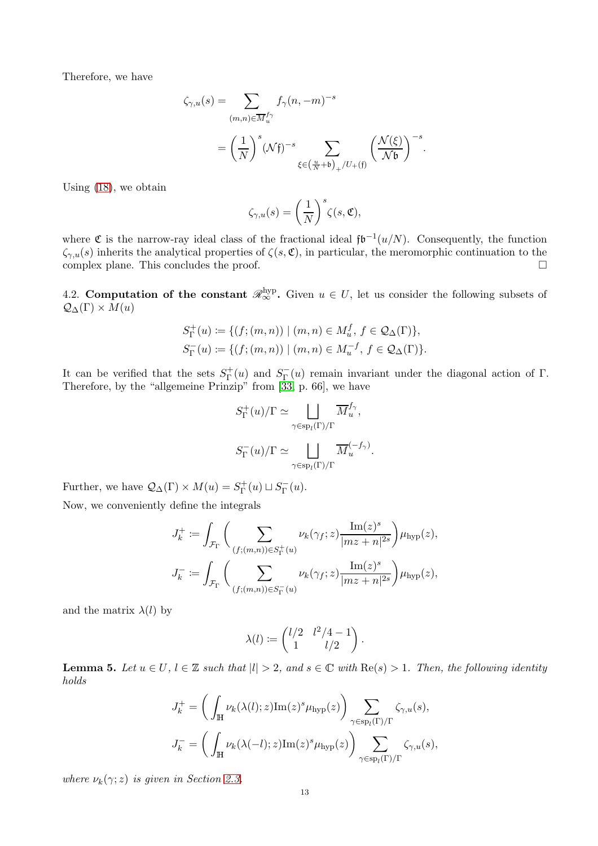Therefore, we have

$$
\begin{aligned} \zeta_{\gamma,u}(s)&=\sum_{(m,n)\in \overline{M}_u^{f_{\gamma}} }f_{\gamma}(n,-m)^{-s}\\ &=\left(\frac{1}{N}\right)^{s}(\mathcal{N}\mathfrak{f})^{-s}\sum_{\xi\in\left(\frac{u}{N}+\mathfrak{b}\right)_{+}/U_{+}(\mathfrak{f})}\left(\frac{\mathcal{N}(\xi)}{\mathcal{N}\mathfrak{b}}\right)^{-s}. \end{aligned}
$$

Using [\(18\)](#page-11-1), we obtain

$$
\zeta_{\gamma,u}(s)=\biggl(\frac{1}{N}\biggr)^s\zeta(s,\mathfrak C),
$$

where  $\mathfrak C$  is the narrow-ray ideal class of the fractional ideal  $\mathfrak{f}\mathfrak{b}^{-1}(u/N)$ . Consequently, the function  $\zeta_{\gamma,u}(s)$  inherits the analytical properties of  $\zeta(s,\mathfrak{C})$ , in particular, the meromorphic continuation to the complex plane. This concludes the proof.  $\Box$ 

<span id="page-12-0"></span>4.2. Computation of the constant  $\mathcal{R}_{\infty}^{\text{hyp}}$ . Given  $u \in U$ , let us consider the following subsets of  $\mathcal{Q}_{\Delta}(\Gamma) \times M(u)$ 

$$
S_{\Gamma}^{+}(u) := \{ (f; (m, n)) \mid (m, n) \in M_{u}^{f}, f \in \mathcal{Q}_{\Delta}(\Gamma) \},
$$
  

$$
S_{\Gamma}^{-}(u) := \{ (f; (m, n)) \mid (m, n) \in M_{u}^{-f}, f \in \mathcal{Q}_{\Delta}(\Gamma) \}.
$$

It can be verified that the sets  $S_{\Gamma}^{+}$  $S_{\Gamma}^{+}(u)$  and  $S_{\Gamma}^{-}$  $\Gamma(\mathbf{u})$  remain invariant under the diagonal action of Γ. Therefore, by the "allgemeine Prinzip" from [\[33,](#page-27-16) p. 66], we have

$$
S_{\Gamma}^{+}(u)/\Gamma \simeq \bigsqcup_{\gamma \in \text{sp}_{l}(\Gamma)/\Gamma} \overline{M}_{u}^{f_{\gamma}},
$$

$$
S_{\Gamma}^{-}(u)/\Gamma \simeq \bigsqcup_{\gamma \in \text{sp}_{l}(\Gamma)/\Gamma} \overline{M}_{u}^{(-f_{\gamma})}
$$

.

Further, we have  $\mathcal{Q}_{\Delta}(\Gamma) \times M(u) = S_{\Gamma}^+(u) \sqcup S_{\Gamma}^-(u)$ .

Now, we conveniently define the integrals

$$
J_k^+ := \int_{\mathcal{F}_{\Gamma}} \bigg( \sum_{(f;(m,n)) \in S_{\Gamma}^+(u)} \nu_k(\gamma_f; z) \frac{\text{Im}(z)^s}{|mz + n|^{2s}} \bigg) \mu_{\text{hyp}}(z),
$$
  

$$
J_k^- := \int_{\mathcal{F}_{\Gamma}} \bigg( \sum_{(f;(m,n)) \in S_{\Gamma}^-(u)} \nu_k(\gamma_f; z) \frac{\text{Im}(z)^s}{|mz + n|^{2s}} \bigg) \mu_{\text{hyp}}(z),
$$

and the matrix  $\lambda(l)$  by

$$
\lambda(l) := \begin{pmatrix} l/2 & l^2/4 - 1 \\ 1 & l/2 \end{pmatrix}.
$$

<span id="page-12-1"></span>**Lemma 5.** Let  $u \in U$ ,  $l \in \mathbb{Z}$  such that  $|l| > 2$ , and  $s \in \mathbb{C}$  with  $\text{Re}(s) > 1$ . Then, the following identity *holds*

$$
J_k^+ = \left(\int_{\mathbb{H}} \nu_k(\lambda(l); z) \mathrm{Im}(z)^s \mu_{\mathrm{hyp}}(z)\right) \sum_{\gamma \in \mathrm{sp}_l(\Gamma)/\Gamma} \zeta_{\gamma, u}(s),
$$
  

$$
J_k^- = \left(\int_{\mathbb{H}} \nu_k(\lambda(-l); z) \mathrm{Im}(z)^s \mu_{\mathrm{hyp}}(z)\right) \sum_{\gamma \in \mathrm{sp}_l(\Gamma)/\Gamma} \zeta_{\gamma, u}(s),
$$

*where*  $\nu_k(\gamma; z)$  *is given in Section [2.3.](#page-4-3)*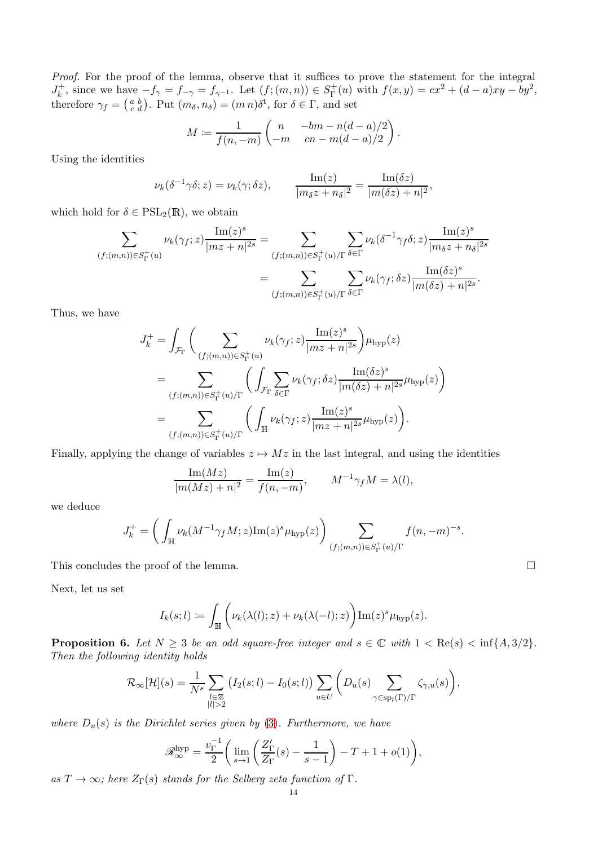*Proof.* For the proof of the lemma, observe that it suffices to prove the statement for the integral  $J_k^+$ <sup>+</sup><sub>k</sub>, since we have  $-f_{\gamma} = f_{-\gamma} = f_{\gamma^{-1}}$ . Let  $(f; (m, n)) \in S_{\Gamma}^+$  $f_{\Gamma}^+(u)$  with  $f(x,y) = cx^2 + (d-a)xy - by^2$ , therefore  $\gamma_f = \begin{pmatrix} a & b \\ c & d \end{pmatrix}$ . Put  $(m_\delta, n_\delta) = (m n) \delta^t$ , for  $\delta \in \Gamma$ , and set

$$
M \coloneqq \frac{1}{f(n,-m)} \begin{pmatrix} n & -bm - n(d-a)/2 \\ -m & cn - m(d-a)/2 \end{pmatrix}.
$$

Using the identities

$$
\nu_k(\delta^{-1}\gamma\delta;z) = \nu_k(\gamma;\delta z), \qquad \frac{\operatorname{Im}(z)}{|m_{\delta}z + n_{\delta}|^2} = \frac{\operatorname{Im}(\delta z)}{|m(\delta z) + n|^2},
$$

which hold for  $\delta \in \mathrm{PSL}_2(\mathbb{R})$ , we obtain

$$
\sum_{(f;(m,n))\in S_{\Gamma}^+(u)}\nu_k(\gamma_f;z)\frac{\operatorname{Im}(z)^s}{|mz+n|^{2s}}=\sum_{(f;(m,n))\in S_{\Gamma}^+(u)/\Gamma}\sum_{\delta\in \Gamma}\nu_k(\delta^{-1}\gamma_f\delta;z)\frac{\operatorname{Im}(z)^s}{|m_{\delta}z+n_{\delta}|^{2s}}}{\sum_{(f;(m,n))\in S_{\Gamma}^+(u)/\Gamma}\sum_{\delta\in \Gamma}\nu_k(\gamma_f;\delta z)\frac{\operatorname{Im}(\delta z)^s}{|m(\delta z)+n|^{2s}}}.
$$

Thus, we have

$$
J_k^+ = \int_{\mathcal{F}_{\Gamma}} \Big( \sum_{(f;(m,n)) \in S_{\Gamma}^+(u)} \nu_k(\gamma_f; z) \frac{\operatorname{Im}(z)^s}{|mz+n|^{2s}} \Big) \mu_{\text{hyp}}(z)
$$
  
= 
$$
\sum_{(f;(m,n)) \in S_{\Gamma}^+(u)/\Gamma} \Big( \int_{\mathcal{F}_{\Gamma}} \sum_{\delta \in \Gamma} \nu_k(\gamma_f; \delta z) \frac{\operatorname{Im}(\delta z)^s}{|m(\delta z)+n|^{2s}} \mu_{\text{hyp}}(z) \Big)
$$
  
= 
$$
\sum_{(f;(m,n)) \in S_{\Gamma}^+(u)/\Gamma} \Big( \int_{\mathbb{H}} \nu_k(\gamma_f; z) \frac{\operatorname{Im}(z)^s}{|mz+n|^{2s}} \mu_{\text{hyp}}(z) \Big).
$$

Finally, applying the change of variables  $z \mapsto Mz$  in the last integral, and using the identities

$$
\frac{\operatorname{Im}(Mz)}{|m(Mz)+n|^2} = \frac{\operatorname{Im}(z)}{f(n,-m)}, \qquad M^{-1}\gamma_f M = \lambda(l),
$$

we deduce

$$
J_k^+ = \left( \int_{\mathbb{H}} \nu_k(M^{-1} \gamma_f M; z) \mathrm{Im}(z)^s \mu_{\text{hyp}}(z) \right) \sum_{(f; (m,n)) \in S_{\Gamma}^+(u)/\Gamma} f(n, -m)^{-s}.
$$

This concludes the proof of the lemma.

Next, let us set

$$
I_k(s; l) := \int_{\mathbb{H}} \left( \nu_k(\lambda(l); z) + \nu_k(\lambda(-l); z) \right) \operatorname{Im}(z)^s \mu_{\text{hyp}}(z).
$$

<span id="page-13-0"></span>**Proposition 6.** Let  $N \geq 3$  be an odd square-free integer and  $s \in \mathbb{C}$  with  $1 < \text{Re}(s) < \inf\{A, 3/2\}$ . *Then the following identity holds*

$$
\mathcal{R}_{\infty}[\mathcal{H}](s) = \frac{1}{N^s} \sum_{\substack{l \in \mathbb{Z} \\ |l| > 2}} \left( I_2(s; l) - I_0(s; l) \right) \sum_{u \in U} \left( D_u(s) \sum_{\gamma \in \text{sp}_l(\Gamma)/\Gamma} \zeta_{\gamma, u}(s) \right),
$$

*where*  $D_u(s)$  *is the Dirichlet series given by* [\(3\)](#page-3-2)*. Furthermore, we have* 

$$
\mathscr{R}_{\infty}^{\rm hyp} = \frac{v_{\Gamma}^{-1}}{2} \bigg( \lim_{s \to 1} \left( \frac{Z_{\Gamma}'}{Z_{\Gamma}}(s) - \frac{1}{s - 1} \right) - T + 1 + o(1) \bigg),
$$

 $as T \to \infty$ *; here*  $Z_{\Gamma}(s)$  *stands for the Selberg zeta function of* Γ*.*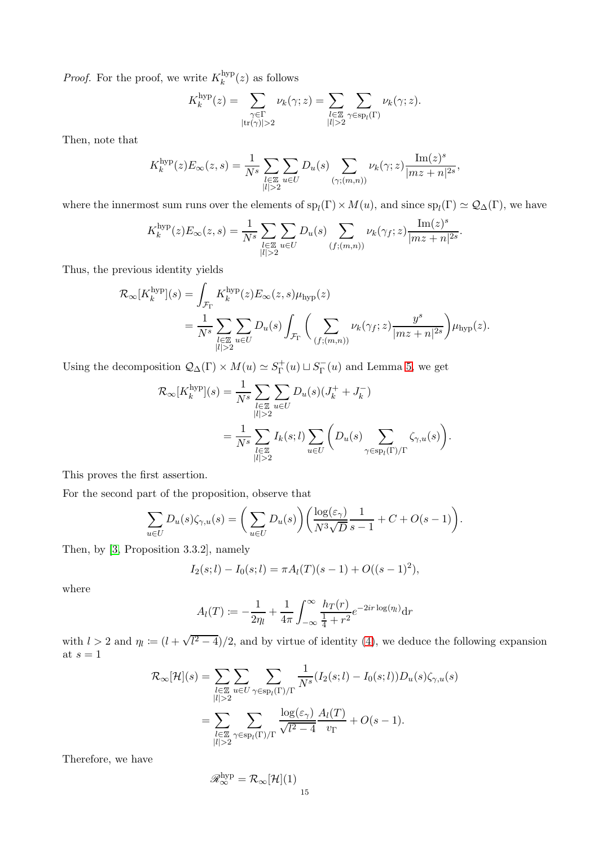*Proof.* For the proof, we write  $K_k^{\text{hyp}}$  $\binom{\text{hyp}}{k}(z)$  as follows

$$
K_k^{\text{hyp}}(z) = \sum_{\substack{\gamma \in \Gamma \\ |\text{tr}(\gamma)| > 2}} \nu_k(\gamma; z) = \sum_{\substack{l \in \mathbb{Z} \\ |l| > 2}} \sum_{\gamma \in \text{sp}_l(\Gamma)} \nu_k(\gamma; z).
$$

Then, note that

$$
K_k^{\mathrm{hyp}}(z)E_\infty(z,s)=\frac{1}{N^s}\sum_{\substack{l\in\mathbb{Z}\\|l|>2}}\sum_{u\in U}D_u(s)\sum_{(\gamma;(m,n))}\nu_k(\gamma;z)\frac{\mathrm{Im}(z)^s}{|mz+n|^{2s}},
$$

where the innermost sum runs over the elements of  $sp_l(\Gamma) \times M(u)$ , and since  $sp_l(\Gamma) \simeq \mathcal{Q}_{\Delta}(\Gamma)$ , we have

$$
K_k^{\text{hyp}}(z)E_{\infty}(z,s) = \frac{1}{N^s} \sum_{\substack{l \in \mathbb{Z} \\ |l| > 2}} \sum_{u \in U} D_u(s) \sum_{(f;(m,n))} \nu_k(\gamma_f; z) \frac{\text{Im}(z)^s}{|mz + n|^{2s}}.
$$

Thus, the previous identity yields

$$
\mathcal{R}_{\infty}[K_k^{\text{hyp}}](s) = \int_{\mathcal{F}_{\Gamma}} K_k^{\text{hyp}}(z) E_{\infty}(z, s) \mu_{\text{hyp}}(z)
$$
  
= 
$$
\frac{1}{N^s} \sum_{\substack{l \in \mathbb{Z} \\ |l| > 2}} \sum_{u \in U} D_u(s) \int_{\mathcal{F}_{\Gamma}} \left( \sum_{(f; (m, n))} \nu_k(\gamma_f; z) \frac{y^s}{|mz + n|^{2s}} \right) \mu_{\text{hyp}}(z).
$$

Using the decomposition  $\mathcal{Q}_{\Delta}(\Gamma) \times M(u) \simeq S_{\Gamma}^+$  $S_{\Gamma}^{+}(u) \sqcup S_{\Gamma}^{-}$  $\Gamma(\mathbf{u})$  and Lemma [5,](#page-12-1) we get

$$
\mathcal{R}_{\infty}[K_k^{\text{hyp}}](s) = \frac{1}{N^s} \sum_{\substack{l \in \mathbb{Z} \\ |l| > 2}} \sum_{u \in U} D_u(s) (J_k^+ + J_k^-)
$$
  
= 
$$
\frac{1}{N^s} \sum_{\substack{l \in \mathbb{Z} \\ |l| > 2}} I_k(s;l) \sum_{u \in U} \left( D_u(s) \sum_{\gamma \in \text{sp}_l(\Gamma)/\Gamma} \zeta_{\gamma,u}(s) \right).
$$

This proves the first assertion.

For the second part of the proposition, observe that

$$
\sum_{u \in U} D_u(s) \zeta_{\gamma, u}(s) = \bigg(\sum_{u \in U} D_u(s)\bigg) \bigg(\frac{\log(\varepsilon_\gamma)}{N^3 \sqrt{D} s - 1} + C + O(s - 1)\bigg).
$$

Then, by [\[3,](#page-26-1) Proposition 3.3.2], namely

$$
I_2(s; l) - I_0(s; l) = \pi A_l(T)(s - 1) + O((s - 1)^2),
$$

where

$$
A_l(T) := -\frac{1}{2\eta_l} + \frac{1}{4\pi} \int_{-\infty}^{\infty} \frac{h_T(r)}{\frac{1}{4} + r^2} e^{-2ir \log(\eta_l)} dr
$$

with  $l > 2$  and  $\eta_l := (l + \sqrt{l^2 - 4})/2$ , and by virtue of identity [\(4\)](#page-3-3), we deduce the following expansion at  $s=1$ 

$$
\mathcal{R}_{\infty}[\mathcal{H}](s) = \sum_{\substack{l \in \mathbb{Z} \\ |l| > 2}} \sum_{u \in U} \sum_{\gamma \in \text{sp}_l(\Gamma)/\Gamma} \frac{1}{N^s} (I_2(s; l) - I_0(s; l)) D_u(s) \zeta_{\gamma, u}(s)
$$

$$
= \sum_{\substack{l \in \mathbb{Z} \\ |l| > 2}} \sum_{\gamma \in \text{sp}_l(\Gamma)/\Gamma} \frac{\log(\varepsilon_{\gamma})}{\sqrt{l^2 - 4}} \frac{A_l(T)}{v_{\Gamma}} + O(s - 1).
$$

Therefore, we have

$$
\mathscr{R}_{\infty}^{\mathrm{hyp}} = \mathcal{R}_{\infty}[\mathcal{H}](1) \Big|_{15}
$$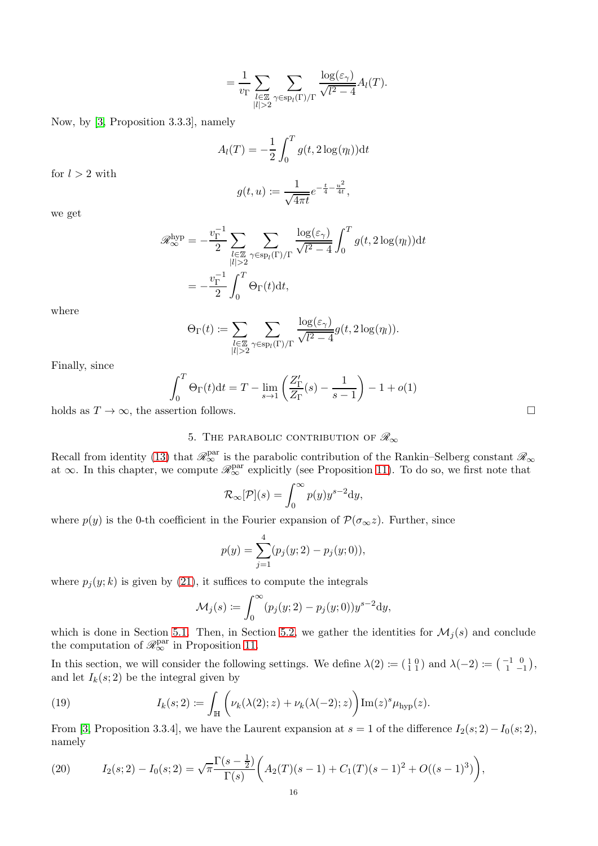$$
= \frac{1}{v_{\Gamma}} \sum_{\substack{l \in \mathbb{Z} \\ |l| > 2}} \sum_{\gamma \in \text{sp}_{l}(\Gamma)/\Gamma} \frac{\log(\varepsilon_{\gamma})}{\sqrt{l^2 - 4}} A_{l}(T).
$$

Now, by [\[3,](#page-26-1) Proposition 3.3.3], namely

$$
A_l(T) = -\frac{1}{2} \int_0^T g(t, 2\log(\eta_l)) \mathrm{d}t
$$

for  $l > 2$  with

$$
g(t, u) := \frac{1}{\sqrt{4\pi t}} e^{-\frac{t}{4} - \frac{u^2}{4t}},
$$

we get

$$
\mathscr{R}_{\infty}^{\text{hyp}} = -\frac{v_{\Gamma}^{-1}}{2} \sum_{\substack{l \in \mathbb{Z} \\ |l| > 2}} \sum_{\gamma \in \text{sp}_{l}(\Gamma)/\Gamma} \frac{\log(\varepsilon_{\gamma})}{\sqrt{l^{2} - 4}} \int_{0}^{T} g(t, 2\log(\eta_{l})) dt
$$

$$
= -\frac{v_{\Gamma}^{-1}}{2} \int_{0}^{T} \Theta_{\Gamma}(t) dt,
$$

where

$$
\Theta_{\Gamma}(t) \coloneqq \sum_{\substack{l \in \mathbb{Z} \\ |l| > 2}} \sum_{\gamma \in \text{sp}_l(\Gamma)/\Gamma} \frac{\log(\varepsilon_\gamma)}{\sqrt{l^2 - 4}} g(t, 2\log(\eta_l)).
$$

Finally, since

$$
\int_0^T \Theta_{\Gamma}(t)dt = T - \lim_{s \to 1} \left( \frac{Z'_{\Gamma}}{Z_{\Gamma}}(s) - \frac{1}{s - 1} \right) - 1 + o(1)
$$

holds as  $T \to \infty$ , the assertion follows.

# 5. THE PARABOLIC CONTRIBUTION OF  $\mathscr{R}_{\infty}$

Recall from identity [\(13\)](#page-6-1) that  $\mathscr{R}_{\infty}^{\text{par}}$  is the parabolic contribution of the Rankin–Selberg constant  $\mathscr{R}_{\infty}$ at  $\infty$ . In this chapter, we compute  $\mathscr{R}_{\infty}^{\text{par}}$  explicitly (see Proposition [11\)](#page-20-0). To do so, we first note that

$$
\mathcal{R}_{\infty}[\mathcal{P}](s) = \int_0^{\infty} p(y) y^{s-2} \mathrm{d}y,
$$

where  $p(y)$  is the 0-th coefficient in the Fourier expansion of  $\mathcal{P}(\sigma_{\infty}z)$ . Further, since

$$
p(y) = \sum_{j=1}^{4} (p_j(y; 2) - p_j(y; 0)),
$$

where  $p_j(y; k)$  is given by [\(21\)](#page-16-0), it suffices to compute the integrals

$$
\mathcal{M}_j(s) \coloneqq \int_0^\infty (p_j(y;2) - p_j(y;0)) y^{s-2} \mathrm{d}y,
$$

which is done in Section [5.1.](#page-16-1) Then, in Section [5.2,](#page-20-1) we gather the identities for  $\mathcal{M}_j(s)$  and conclude the computation of  $\mathcal{R}_{\infty}^{\text{par}}$  in Proposition [11.](#page-20-0)

In this section, we will consider the following settings. We define  $\lambda(2) \coloneqq \begin{pmatrix} 1 & 0 \\ 1 & 1 \end{pmatrix}$  and  $\lambda(-2) \coloneqq \begin{pmatrix} -1 & 0 \\ 1 & -1 \end{pmatrix}$ , and let  $I_k(s; 2)$  be the integral given by

<span id="page-15-0"></span>(19) 
$$
I_k(s;2) \coloneqq \int_{\mathbb{H}} \left( \nu_k(\lambda(2);z) + \nu_k(\lambda(-2);z) \right) \mathrm{Im}(z)^s \mu_{\text{hyp}}(z).
$$

From [\[3,](#page-26-1) Proposition 3.3.4], we have the Laurent expansion at  $s = 1$  of the difference  $I_2(s; 2) - I_0(s; 2)$ , namely

<span id="page-15-1"></span>(20) 
$$
I_2(s; 2) - I_0(s; 2) = \sqrt{\pi} \frac{\Gamma(s - \frac{1}{2})}{\Gamma(s)} \left( A_2(T)(s - 1) + C_1(T)(s - 1)^2 + O((s - 1)^3) \right),
$$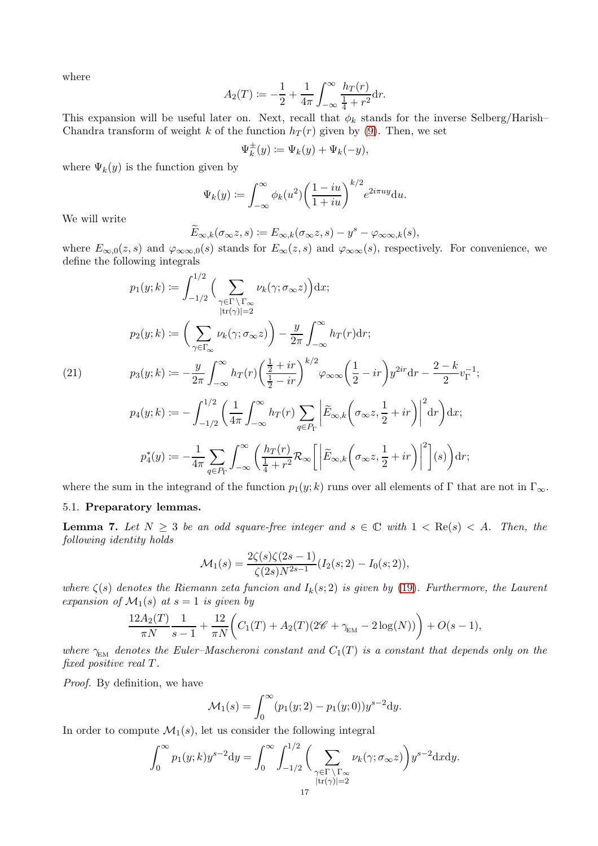where

$$
A_2(T) := -\frac{1}{2} + \frac{1}{4\pi} \int_{-\infty}^{\infty} \frac{h_T(r)}{\frac{1}{4} + r^2} dr.
$$

This expansion will be useful later on. Next, recall that  $\phi_k$  stands for the inverse Selberg/Harish– Chandra transform of weight k of the function  $h_T(r)$  given by [\(9\)](#page-5-2). Then, we set

$$
\Psi_k^{\pm}(y) \coloneqq \Psi_k(y) + \Psi_k(-y),
$$

where  $\Psi_k(y)$  is the function given by

$$
\Psi_k(y) := \int_{-\infty}^{\infty} \phi_k(u^2) \left(\frac{1-iu}{1+iu}\right)^{k/2} e^{2i\pi uy} du.
$$

We will write

$$
\widetilde{E}_{\infty,k}(\sigma_{\infty}z,s) := E_{\infty,k}(\sigma_{\infty}z,s) - y^s - \varphi_{\infty}z_{k}(s),
$$

where  $E_{\infty,0}(z,s)$  and  $\varphi_{\infty,\infty,0}(s)$  stands for  $E_{\infty}(z,s)$  and  $\varphi_{\infty,\infty}(s)$ , respectively. For convenience, we define the following integrals

<span id="page-16-0"></span>
$$
p_1(y;k) := \int_{-1/2}^{1/2} \Big( \sum_{\gamma \in \Gamma \backslash \Gamma_{\infty}} \nu_k(\gamma; \sigma_{\infty} z) \Big) dx;
$$
  
\n
$$
p_2(y;k) := \Big( \sum_{\gamma \in \Gamma_{\infty}} \nu_k(\gamma; \sigma_{\infty} z) \Big) - \frac{y}{2\pi} \int_{-\infty}^{\infty} h_T(r) dr;
$$
  
\n(21)  
\n
$$
p_3(y;k) := -\frac{y}{2\pi} \int_{-\infty}^{\infty} h_T(r) \Big( \frac{\frac{1}{2} + ir}{\frac{1}{2} - ir} \Big)^{k/2} \varphi_{\infty} \Big( \frac{1}{2} - ir \Big) y^{2ir} dr - \frac{2 - k}{2} v_{\Gamma}^{-1};
$$
  
\n
$$
p_4(y;k) := -\int_{-1/2}^{1/2} \Big( \frac{1}{4\pi} \int_{-\infty}^{\infty} h_T(r) \sum_{q \in P_{\Gamma}} \Big| \widetilde{E}_{\infty,k} \Big( \sigma_{\infty} z, \frac{1}{2} + ir \Big) \Big|^2 dr \Big) dx;
$$
  
\n
$$
p_4^*(y) := -\frac{1}{4\pi} \sum_{q \in P_{\Gamma}} \int_{-\infty}^{\infty} \Big( \frac{h_T(r)}{\frac{1}{4} + r^2} \mathcal{R}_{\infty} \Big[ \Big| \widetilde{E}_{\infty,k} \Big( \sigma_{\infty} z, \frac{1}{2} + ir \Big) \Big|^2 \Big] (s) \Big) dr;
$$

<span id="page-16-1"></span>where the sum in the integrand of the function  $p_1(y; k)$  runs over all elements of Γ that are not in Γ<sub>∞</sub>.

### 5.1. Preparatory lemmas.

**Lemma 7.** Let  $N \geq 3$  be an odd square-free integer and  $s \in \mathbb{C}$  with  $1 < \text{Re}(s) < A$ . Then, the *following identity holds*

$$
\mathcal{M}_1(s) = \frac{2\zeta(s)\zeta(2s-1)}{\zeta(2s)N^{2s-1}}(I_2(s; 2) - I_0(s; 2)),
$$

*where*  $\zeta(s)$  *denotes the Riemann zeta funcion and*  $I_k(s; 2)$  *is given by* [\(19\)](#page-15-0)*. Furthermore, the Laurent expansion of*  $\mathcal{M}_1(s)$  *at*  $s = 1$  *is given by* 

$$
\frac{12A_2(T)}{\pi N} \frac{1}{s-1} + \frac{12}{\pi N} \bigg( C_1(T) + A_2(T) (2\mathscr{C} + \gamma_{\text{EM}} - 2 \log(N)) \bigg) + O(s-1),
$$

*where*  $\gamma_{\text{EM}}$  *denotes the Euler–Mascheroni constant and*  $C_1(T)$  *is a constant that depends only on the fixed positive real* T*.*

*Proof.* By definition, we have

$$
\mathcal{M}_1(s) = \int_0^\infty (p_1(y; 2) - p_1(y; 0)) y^{s-2} dy.
$$

In order to compute  $\mathcal{M}_1(s)$ , let us consider the following integral

$$
\int_0^\infty p_1(y;k)y^{s-2}dy = \int_0^\infty \int_{-1/2}^{1/2} \bigg(\sum_{\substack{\gamma \in \Gamma \setminus \Gamma_\infty \\ |tr(\gamma)|=2}} \nu_k(\gamma;\sigma_\infty z)\bigg)y^{s-2}dxdy.
$$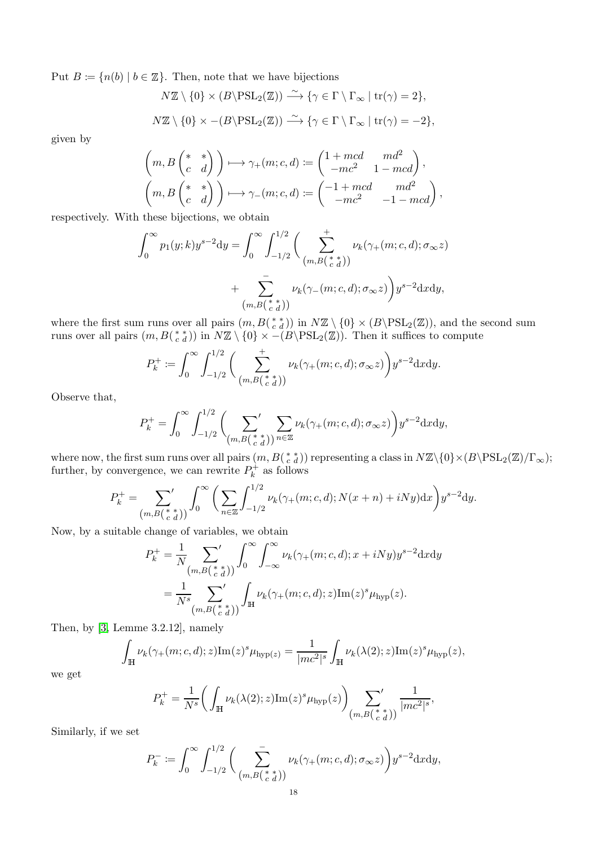Put  $B := \{n(b) | b \in \mathbb{Z}\}.$  Then, note that we have bijections

$$
N\mathbb{Z}\setminus\{0\}\times(B\setminus\mathrm{PSL}_2(\mathbb{Z}))\stackrel{\sim}{\longrightarrow}\{\gamma\in\Gamma\setminus\Gamma_{\infty}\mid\mathrm{tr}(\gamma)=2\},
$$
  

$$
N\mathbb{Z}\setminus\{0\}\times-(B\setminus\mathrm{PSL}_2(\mathbb{Z}))\stackrel{\sim}{\longrightarrow}\{\gamma\in\Gamma\setminus\Gamma_{\infty}\mid\mathrm{tr}(\gamma)=-2\},
$$

given by

$$
\begin{pmatrix} m, B\begin{pmatrix} * & * \\ c & d \end{pmatrix} \end{pmatrix} \longmapsto \gamma_+(m;c,d) \coloneqq \begin{pmatrix} 1 + mcd & md^2 \\ -mc^2 & 1 - mcd \end{pmatrix},
$$

$$
\begin{pmatrix} m, B\begin{pmatrix} * & * \\ c & d \end{pmatrix} \end{pmatrix} \longmapsto \gamma_-(m;c,d) \coloneqq \begin{pmatrix} -1 + mcd & md^2 \\ -mc^2 & -1 - mcd \end{pmatrix},
$$

respectively. With these bijections, we obtain

$$
\int_0^\infty p_1(y;k)y^{s-2}dy = \int_0^\infty \int_{-1/2}^{1/2} \left( \sum_{\substack{(m,B(\begin{array}{l} * \ t) \end{array})}}^+ \nu_k(\gamma_+(m;c,d);\sigma_\infty z) + \sum_{\substack{(m,B(\begin{array}{l} * \ t) \end{array})}}^- \nu_k(\gamma_-(m;c,d);\sigma_\infty z) \right) y^{s-2}dxdy,
$$

where the first sum runs over all pairs  $(m, B(\begin{array}{c} * \ a \end{array}))$  in  $N\mathbb{Z} \setminus \{0\} \times (B \setminus \text{PSL}_2(\mathbb{Z}))$ , and the second sum runs over all pairs  $(m, B(\begin{smallmatrix} * & * \\ c & d \end{smallmatrix}))$  in  $N\mathbb{Z} \setminus \{0\} \times - (B \setminus \text{PSL}_2(\mathbb{Z}))$ . Then it suffices to compute

$$
P_k^+ \coloneqq \int_0^\infty \int_{-1/2}^{1/2} \bigg(\sum_{\substack{ (m,B(\begin{smallmatrix} * & * \\ c & d \end{smallmatrix}) )}}^+ \nu_k(\gamma_+(m;c,d);\sigma_\infty z)\bigg) y^{s-2} \mathrm{d}x \mathrm{d}y.
$$

Observe that,

$$
P_k^+ = \int_0^\infty \int_{-1/2}^{1/2} \left( \sum_{\substack{m,B(\substack{ * \\ c \ d \bigr)}}} \sum_{n \in \mathbb{Z}} \nu_k(\gamma_+(m;c,d);\sigma_\infty z) \right) y^{s-2} \mathrm{d}x \mathrm{d}y,
$$

where now, the first sum runs over all pairs  $(m, B(\begin{array}{c} * \ * \ a \end{array}))$  representing a class in  $N\mathbb{Z}\backslash \{0\}\times (B\backslash \mathrm{PSL}_2(\mathbb{Z})/\Gamma_{\infty})$ ; further, by convergence, we can rewrite  $P_k^+$  $k \atop k$  as follows

$$
P_k^+ = \sum_{(m,B({\begin{array}{c} * \ * \\ c \ d \end{array}}))} \int_0^\infty \left( \sum_{n \in \mathbb{Z}} \int_{-1/2}^{1/2} \nu_k(\gamma_+(m;c,d); N(x+n) + iNy) dx \right) y^{s-2} dy.
$$

Now, by a suitable change of variables, we obtain

$$
P_k^+ = \frac{1}{N} \sum_{\substack{(m,B({s, s \atop c d}))}}^{} \int_0^\infty \int_{-\infty}^\infty \nu_k(\gamma_+(m;c,d); x + iNy) y^{s-2} \, \mathrm{d}x \, \mathrm{d}y
$$
  
= 
$$
\frac{1}{N^s} \sum_{\substack{(m,B({s, s \atop c d}))}}^{} \int_{\mathbb{H}} \nu_k(\gamma_+(m;c,d); z) \mathrm{Im}(z)^s \mu_{\text{hyp}}(z).
$$

Then, by [\[3,](#page-26-1) Lemme 3.2.12], namely

$$
\int_{\mathbb{H}} \nu_k(\gamma_+(m;c,d);z) \mathrm{Im}(z)^s \mu_{\mathrm{hyp}(z)} = \frac{1}{|mc^2|^s} \int_{\mathbb{H}} \nu_k(\lambda(2);z) \mathrm{Im}(z)^s \mu_{\mathrm{hyp}}(z),
$$

we get

$$
P_k^+ = \frac{1}{N^s} \bigg( \int_{\mathbb{H}} \nu_k(\lambda(2); z) \mathrm{Im}(z)^s \mu_{\mathrm{hyp}}(z) \bigg) \sum_{(m, B\left(\begin{array}{c} * \\ c \end{array} \right) \neq 0} \frac{1}{|mc^2|^s},
$$

Similarly, if we set

$$
P_k^- := \int_0^\infty \int_{-1/2}^{1/2} \bigg( \sum_{\substack{(m,B({c,d}) \text{ is a } m)}}^{-} \nu_k(\gamma_+(m;c,d); \sigma_\infty z) \bigg) y^{s-2} \, \mathrm{d}x \, \mathrm{d}y,
$$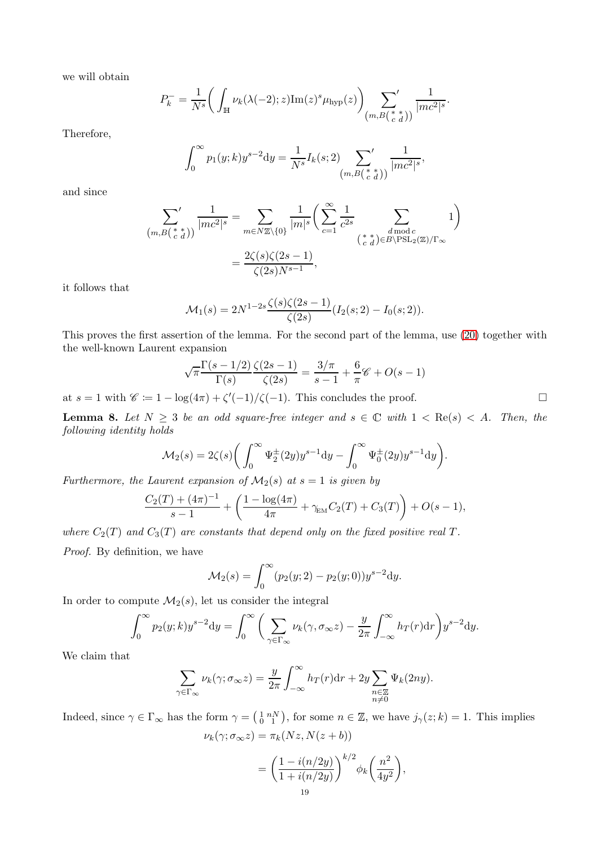we will obtain

$$
P_k^- = \frac{1}{N^s} \bigg( \int_{\mathbb{H}} \nu_k(\lambda(-2); z) \mathrm{Im}(z)^s \mu_{\mathrm{hyp}}(z) \bigg) \sum_{(m, B\begin{pmatrix} * & * \\ c & d \end{pmatrix})} \frac{1}{|mc^2|^s}.
$$

Therefore,

$$
\int_0^{\infty} p_1(y;k) y^{s-2} dy = \frac{1}{N^s} I_k(s;2) \sum_{(m,B(\begin{array}{c} * \\ c \end{array} d))} \frac{1}{|mc^2|^s},
$$

and since

$$
\sum_{\substack{(m,B(\stackrel{*}{c}\stackrel{*}{d}))}}\frac{1}{|mc^2|^s} = \sum_{m\in N\mathbb{Z}\backslash\{0\}}\frac{1}{|m|^s}\bigg(\sum_{c=1}^{\infty}\frac{1}{c^{2s}}\sum_{\substack{d \bmod c \\ (\stackrel{*}{c}\stackrel{*}{d})\in B\backslash\mathrm{PSL}_2(\mathbb{Z})/\Gamma_{\infty}}}1\bigg)
$$

$$
= \frac{2\zeta(s)\zeta(2s-1)}{\zeta(2s)N^{s-1}},
$$

it follows that

$$
\mathcal{M}_1(s) = 2N^{1-2s} \frac{\zeta(s)\zeta(2s-1)}{\zeta(2s)} (I_2(s; 2) - I_0(s; 2)).
$$

This proves the first assertion of the lemma. For the second part of the lemma, use [\(20\)](#page-15-1) together with the well-known Laurent expansion

$$
\sqrt{\pi} \frac{\Gamma(s - 1/2)}{\Gamma(s)} \frac{\zeta(2s - 1)}{\zeta(2s)} = \frac{3/\pi}{s - 1} + \frac{6}{\pi} \mathscr{C} + O(s - 1)
$$

at  $s = 1$  with  $\mathscr{C} \coloneqq 1 - \log(4\pi) + \zeta'(-1)/\zeta(-1)$ . This concludes the proof.

**Lemma 8.** Let  $N \geq 3$  be an odd square-free integer and  $s \in \mathbb{C}$  with  $1 < \text{Re}(s) < A$ . Then, the *following identity holds*

$$
\mathcal{M}_2(s) = 2\zeta(s) \bigg( \int_0^\infty \Psi_2^{\pm}(2y) y^{s-1} dy - \int_0^\infty \Psi_0^{\pm}(2y) y^{s-1} dy \bigg).
$$

*Furthermore, the Laurent expansion of*  $M_2(s)$  *at*  $s = 1$  *is given by* 

$$
\frac{C_2(T) + (4\pi)^{-1}}{s - 1} + \left(\frac{1 - \log(4\pi)}{4\pi} + \gamma_{\text{EM}} C_2(T) + C_3(T)\right) + O(s - 1),
$$

*where*  $C_2(T)$  *and*  $C_3(T)$  *are constants that depend only on the fixed positive real*  $T$ *.* 

*Proof.* By definition, we have

$$
\mathcal{M}_2(s) = \int_0^\infty (p_2(y; 2) - p_2(y; 0)) y^{s-2} dy.
$$

In order to compute  $\mathcal{M}_2(s)$ , let us consider the integral

$$
\int_0^\infty p_2(y;k)y^{s-2}dy = \int_0^\infty \bigg(\sum_{\gamma \in \Gamma_\infty} \nu_k(\gamma, \sigma_\infty z) - \frac{y}{2\pi} \int_{-\infty}^\infty h_T(r)dr\bigg)y^{s-2}dy.
$$

We claim that

$$
\sum_{\gamma \in \Gamma_{\infty}} \nu_k(\gamma; \sigma_{\infty} z) = \frac{y}{2\pi} \int_{-\infty}^{\infty} h_T(r) dr + 2y \sum_{\substack{n \in \mathbb{Z} \\ n \neq 0}} \Psi_k(2ny).
$$

Indeed, since  $\gamma \in \Gamma_{\infty}$  has the form  $\gamma = \left(\begin{smallmatrix} 1 & nN \\ 0 & 1 \end{smallmatrix}\right)$ , for some  $n \in \mathbb{Z}$ , we have  $j_{\gamma}(z;k) = 1$ . This implies  $\nu_k(\gamma; \sigma_\infty z) = \pi_k(Nz, N(z + b))$ 

$$
=\bigg(\frac{1-i(n/2y)}{1+i(n/2y)}\bigg)^{k/2}\phi_k\bigg(\frac{n^2}{4y^2}\bigg),\,
$$
  

$$
\frac{19}{}
$$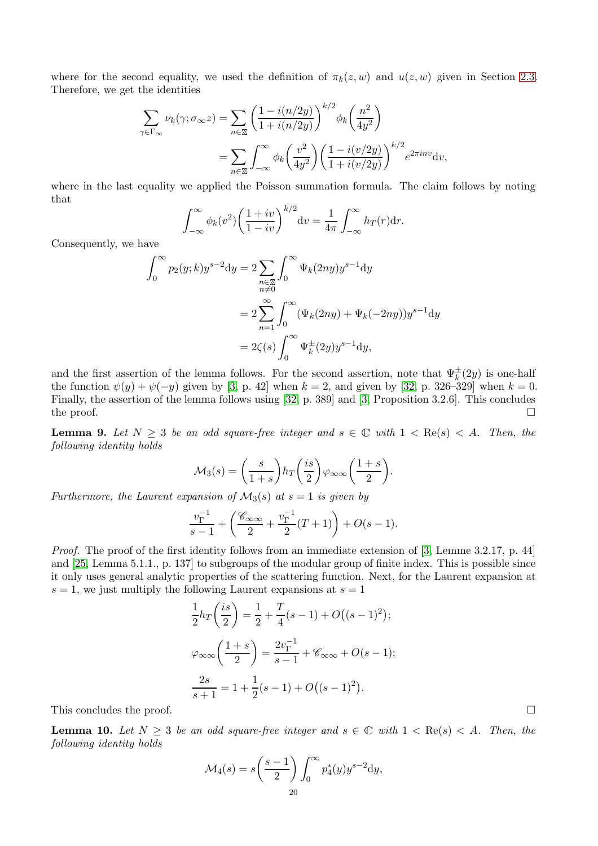where for the second equality, we used the definition of  $\pi_k(z, w)$  and  $u(z, w)$  given in Section [2.3.](#page-4-3) Therefore, we get the identities

$$
\sum_{\gamma \in \Gamma_{\infty}} \nu_k(\gamma; \sigma_{\infty} z) = \sum_{n \in \mathbb{Z}} \left( \frac{1 - i(n/2y)}{1 + i(n/2y)} \right)^{k/2} \phi_k\left(\frac{n^2}{4y^2}\right)
$$

$$
= \sum_{n \in \mathbb{Z}} \int_{-\infty}^{\infty} \phi_k\left(\frac{v^2}{4y^2}\right) \left( \frac{1 - i(v/2y)}{1 + i(v/2y)} \right)^{k/2} e^{2\pi i n v} dv,
$$

where in the last equality we applied the Poisson summation formula. The claim follows by noting that

$$
\int_{-\infty}^{\infty} \phi_k(v^2) \left(\frac{1+iv}{1-iv}\right)^{k/2} dv = \frac{1}{4\pi} \int_{-\infty}^{\infty} h_T(r) dr.
$$

Consequently, we have

$$
\int_0^\infty p_2(y;k)y^{s-2}dy = 2\sum_{\substack{n\in\mathbb{Z} \\ n\neq 0}} \int_0^\infty \Psi_k(2ny)y^{s-1}dy
$$

$$
= 2\sum_{n=1}^\infty \int_0^\infty (\Psi_k(2ny) + \Psi_k(-2ny))y^{s-1}dy
$$

$$
= 2\zeta(s)\int_0^\infty \Psi_k^{\pm}(2y)y^{s-1}dy,
$$

and the first assertion of the lemma follows. For the second assertion, note that  $\Psi_k^{\pm}(2y)$  is one-half the function  $\psi(y) + \psi(-y)$  given by [\[3,](#page-26-1) p. 42] when  $k = 2$ , and given by [\[32,](#page-27-17) p. 326–329] when  $k = 0$ . Finally, the assertion of the lemma follows using [\[32,](#page-27-17) p. 389] and [\[3,](#page-26-1) Proposition 3.2.6]. This concludes the proof.  $\Box$ 

**Lemma 9.** Let  $N \geq 3$  be an odd square-free integer and  $s \in \mathbb{C}$  with  $1 < \text{Re}(s) < A$ . Then, the *following identity holds*

$$
\mathcal{M}_3(s) = \left(\frac{s}{1+s}\right) h_T\left(\frac{is}{2}\right) \varphi_{\infty\infty}\left(\frac{1+s}{2}\right).
$$

*Furthermore, the Laurent expansion of*  $M_3(s)$  *at*  $s = 1$  *is given by* 

$$
\frac{v_{\Gamma}^{-1}}{s-1} + \left(\frac{\mathscr{C}_{\infty\infty}}{2} + \frac{v_{\Gamma}^{-1}}{2}(T+1)\right) + O(s-1).
$$

*Proof.* The proof of the first identity follows from an immediate extension of [\[3,](#page-26-1) Lemme 3.2.17, p. 44] and [\[25,](#page-27-6) Lemma 5.1.1., p. 137] to subgroups of the modular group of finite index. This is possible since it only uses general analytic properties of the scattering function. Next, for the Laurent expansion at  $s = 1$ , we just multiply the following Laurent expansions at  $s = 1$ 

$$
\frac{1}{2}h_T\left(\frac{is}{2}\right) = \frac{1}{2} + \frac{T}{4}(s-1) + O((s-1)^2);
$$
  

$$
\varphi_{\infty\infty}\left(\frac{1+s}{2}\right) = \frac{2v_{\Gamma}^{-1}}{s-1} + \mathscr{C}_{\infty\infty} + O(s-1);
$$
  

$$
\frac{2s}{s+1} = 1 + \frac{1}{2}(s-1) + O((s-1)^2).
$$

This concludes the proof.

**Lemma 10.** Let  $N \geq 3$  be an odd square-free integer and  $s \in \mathbb{C}$  with  $1 < \text{Re}(s) < A$ . Then, the *following identity holds*

$$
\mathcal{M}_4(s) = s \left(\frac{s-1}{2}\right) \int_0^\infty p_4^*(y) y^{s-2} dy,
$$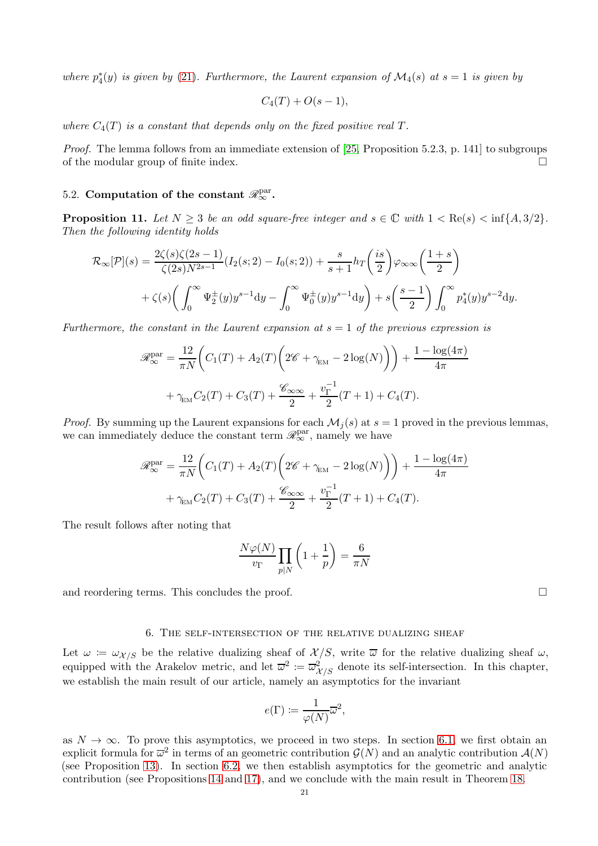where  $p_4^*(y)$  *is given by* [\(21\)](#page-16-0)*. Furthermore, the Laurent expansion of*  $\mathcal{M}_4(s)$  *at*  $s = 1$  *is given by* 

$$
C_4(T)+O(s-1),
$$

where  $C_4(T)$  *is a constant that depends only on the fixed positive real*  $T$ *.* 

*Proof.* The lemma follows from an immediate extension of [\[25,](#page-27-6) Proposition 5.2.3, p. 141] to subgroups of the modular group of finite index.

# <span id="page-20-1"></span>5.2. Computation of the constant  $\mathscr{R}^{\mathrm{par}}_{\infty}$ .

<span id="page-20-0"></span>**Proposition 11.** Let  $N > 3$  be an odd square-free integer and  $s \in \mathbb{C}$  with  $1 < \text{Re}(s) < \inf\{A, 3/2\}$ . *Then the following identity holds*

$$
\mathcal{R}_{\infty}[\mathcal{P}](s) = \frac{2\zeta(s)\zeta(2s-1)}{\zeta(2s)N^{2s-1}}(I_2(s; 2) - I_0(s; 2)) + \frac{s}{s+1}h_T\left(\frac{is}{2}\right)\varphi_{\infty\infty}\left(\frac{1+s}{2}\right) + \zeta(s)\left(\int_0^\infty \Psi_2^{\pm}(y)y^{s-1}dy - \int_0^\infty \Psi_0^{\pm}(y)y^{s-1}dy\right) + s\left(\frac{s-1}{2}\right)\int_0^\infty p_4^*(y)y^{s-2}dy.
$$

*Furthermore, the constant in the Laurent expansion at*  $s = 1$  *of the previous expression is* 

$$
\mathscr{R}_{\infty}^{\text{par}} = \frac{12}{\pi N} \Big( C_1(T) + A_2(T) \Big( 2\mathscr{C} + \gamma_{\text{EM}} - 2 \log(N) \Big) \Big) + \frac{1 - \log(4\pi)}{4\pi}
$$

$$
+ \gamma_{\text{EM}} C_2(T) + C_3(T) + \frac{\mathscr{C}_{\infty\infty}}{2} + \frac{v_{\Gamma}^{-1}}{2} (T + 1) + C_4(T).
$$

*Proof.* By summing up the Laurent expansions for each  $\mathcal{M}_i(s)$  at  $s = 1$  proved in the previous lemmas, we can immediately deduce the constant term  $\mathscr{R}^{\text{par}}_{\infty}$ , namely we have

$$
\mathcal{R}_{\infty}^{\text{par}} = \frac{12}{\pi N} \left( C_1(T) + A_2(T) \left( 2\mathcal{C} + \gamma_{\text{EM}} - 2 \log(N) \right) \right) + \frac{1 - \log(4\pi)}{4\pi} + \gamma_{\text{EM}} C_2(T) + C_3(T) + \frac{\mathcal{C}_{\infty\infty}}{2} + \frac{v_{\Gamma}^{-1}}{2} (T + 1) + C_4(T).
$$

The result follows after noting that

$$
\frac{N\varphi(N)}{v_{\Gamma}} \prod_{p|N} \left(1 + \frac{1}{p}\right) = \frac{6}{\pi N}
$$

and reordering terms. This concludes the proof.

### 6. The self-intersection of the relative dualizing sheaf

Let  $\omega := \omega_{\mathcal{X}/S}$  be the relative dualizing sheaf of  $\mathcal{X}/S$ , write  $\overline{\omega}$  for the relative dualizing sheaf  $\omega$ , equipped with the Arakelov metric, and let  $\overline{\omega}^2 := \overline{\omega}^2_{\mathcal{X}/S}$  denote its self-intersection. In this chapter, we establish the main result of our article, namely an asymptotics for the invariant

$$
e(\Gamma) := \frac{1}{\varphi(N)} \overline{\omega}^2,
$$

as  $N \to \infty$ . To prove this asymptotics, we proceed in two steps. In section [6.1,](#page-21-0) we first obtain an explicit formula for  $\overline{\omega}^2$  in terms of an geometric contribution  $\mathcal{G}(N)$  and an analytic contribution  $\mathcal{A}(N)$ (see Proposition [13\)](#page-22-0). In section [6.2,](#page-23-1) we then establish asymptotics for the geometric and analytic contribution (see Propositions [14](#page-23-0) and [17\)](#page-25-0), and we conclude with the main result in Theorem [18.](#page-26-5)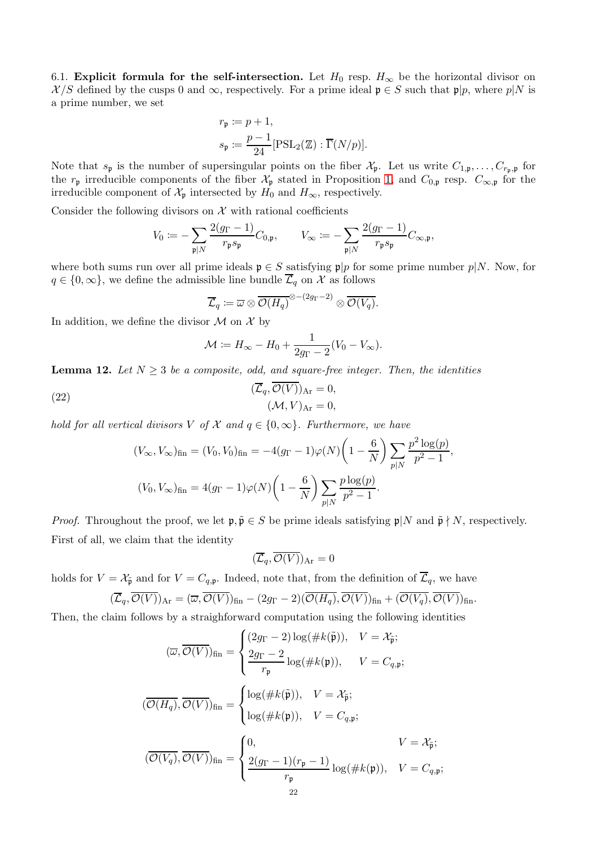<span id="page-21-0"></span>6.1. Explicit formula for the self-intersection. Let  $H_0$  resp.  $H_{\infty}$  be the horizontal divisor on  $\mathcal{X}/S$  defined by the cusps 0 and  $\infty$ , respectively. For a prime ideal  $\mathfrak{p} \in S$  such that  $\mathfrak{p}|p$ , where  $p|N$  is a prime number, we set

$$
\begin{aligned} r_{\mathfrak{p}} &\coloneqq p+1,\\ s_{\mathfrak{p}} &\coloneqq \frac{p-1}{24}[\mathrm{PSL}_2(\mathbb{Z}):\overline{\Gamma}(N/p)]. \end{aligned}
$$

Note that  $s_p$  is the number of supersingular points on the fiber  $\mathcal{X}_p$ . Let us write  $C_{1,p},\ldots,C_{r_p,p}$  for the  $r_p$  irreducible components of the fiber  $\mathcal{X}_p$  stated in Proposition [1,](#page-8-0) and  $C_{0,p}$  resp.  $C_{\infty,p}$  for the irreducible component of  $\mathcal{X}_{\mathfrak{p}}$  intersected by  $H_0$  and  $H_{\infty}$ , respectively.

Consider the following divisors on  $\mathcal X$  with rational coefficients

$$
V_0 \coloneqq -\sum_{\mathfrak{p} \mid N} \frac{2(g_{\Gamma} - 1)}{r_{\mathfrak{p}} s_{\mathfrak{p}}} C_{0,\mathfrak{p}}, \qquad V_{\infty} \coloneqq -\sum_{\mathfrak{p} \mid N} \frac{2(g_{\Gamma} - 1)}{r_{\mathfrak{p}} s_{\mathfrak{p}}} C_{\infty,\mathfrak{p}},
$$

where both sums run over all prime ideals  $\mathfrak{p} \in S$  satisfying  $\mathfrak{p}|p$  for some prime number  $p|N$ . Now, for  $q \in \{0, \infty\}$ , we define the admissible line bundle  $\overline{\mathcal{L}}_q$  on X as follows

$$
\overline{\mathcal{L}}_q \coloneqq \overline{\omega} \otimes \overline{\mathcal{O}(H_q)}^{\otimes -(2g_\Gamma -2)} \otimes \overline{\mathcal{O}(V_q)}.
$$

In addition, we define the divisor  $\mathcal M$  on  $\mathcal X$  by

$$
\mathcal{M} \coloneqq H_{\infty} - H_0 + \frac{1}{2g_{\Gamma} - 2}(V_0 - V_{\infty}).
$$

<span id="page-21-2"></span>**Lemma 12.** Let  $N \geq 3$  be a composite, odd, and square-free integer. Then, the identities

<span id="page-21-1"></span>(22) 
$$
(\overline{\mathcal{L}}_q, \overline{\mathcal{O}(V)})_{\text{Ar}} = 0, (\mathcal{M}, V)_{\text{Ar}} = 0,
$$

*hold for all vertical divisors* V *of* X and  $q \in \{0, \infty\}$ . Furthermore, we have

$$
(V_{\infty}, V_{\infty})_{\text{fin}} = (V_0, V_0)_{\text{fin}} = -4(g_{\Gamma} - 1)\varphi(N)\left(1 - \frac{6}{N}\right) \sum_{p|N} \frac{p^2 \log(p)}{p^2 - 1},
$$
  

$$
(V_0, V_{\infty})_{\text{fin}} = 4(g_{\Gamma} - 1)\varphi(N)\left(1 - \frac{6}{N}\right) \sum_{p|N} \frac{p \log(p)}{p^2 - 1}.
$$

*Proof.* Throughout the proof, we let  $\mathfrak{p}, \tilde{\mathfrak{p}} \in S$  be prime ideals satisfying  $\mathfrak{p}|N$  and  $\tilde{\mathfrak{p}} \nmid N$ , respectively. First of all, we claim that the identity

$$
(\overline{\mathcal{L}}_q,\overline{\mathcal{O}(V)})_{\rm Ar}=0
$$

holds for  $V = \mathcal{X}_{\tilde{\mathfrak{p}}}$  and for  $V = C_{q,\mathfrak{p}}$ . Indeed, note that, from the definition of  $\overline{\mathcal{L}}_q$ , we have

$$
(\overline{\mathcal{L}}_q, \overline{\mathcal{O}(V)})_{\text{Ar}} = (\overline{\omega}, \overline{\mathcal{O}(V)})_{\text{fin}} - (2g_{\Gamma} - 2)(\overline{\mathcal{O}(H_q)}, \overline{\mathcal{O}(V)})_{\text{fin}} + (\overline{\mathcal{O}(V_q)}, \overline{\mathcal{O}(V)})_{\text{fin}}.
$$

Then, the claim follows by a straighforward computation using the following identities

$$
(\overline{\omega}, \overline{\mathcal{O}(V)})_{\text{fin}} = \begin{cases} (2g_{\Gamma} - 2) \log(\#k(\tilde{\mathfrak{p}})), & V = \mathcal{X}_{\tilde{\mathfrak{p}}}; \\ \frac{2g_{\Gamma} - 2}{r_{\mathfrak{p}}} \log(\#k(\mathfrak{p})), & V = C_{q, \mathfrak{p}}; \end{cases}
$$

$$
(\overline{\mathcal{O}(H_q)}, \overline{\mathcal{O}(V)})_{\text{fin}} = \begin{cases} \log(\#k(\tilde{\mathfrak{p}})), & V = \mathcal{X}_{\tilde{\mathfrak{p}}}; \\ \log(\#k(\mathfrak{p})), & V = C_{q, \mathfrak{p}}; \end{cases}
$$

$$
(\overline{\mathcal{O}(V_q)}, \overline{\mathcal{O}(V)})_{\text{fin}} = \begin{cases} 0, & V = \mathcal{X}_{\tilde{\mathfrak{p}}}; \\ \frac{2(g_{\Gamma} - 1)(r_{\mathfrak{p}} - 1)}{r_{\mathfrak{p}}} \log(\#k(\mathfrak{p})), & V = C_{q, \mathfrak{p}}; \end{cases}
$$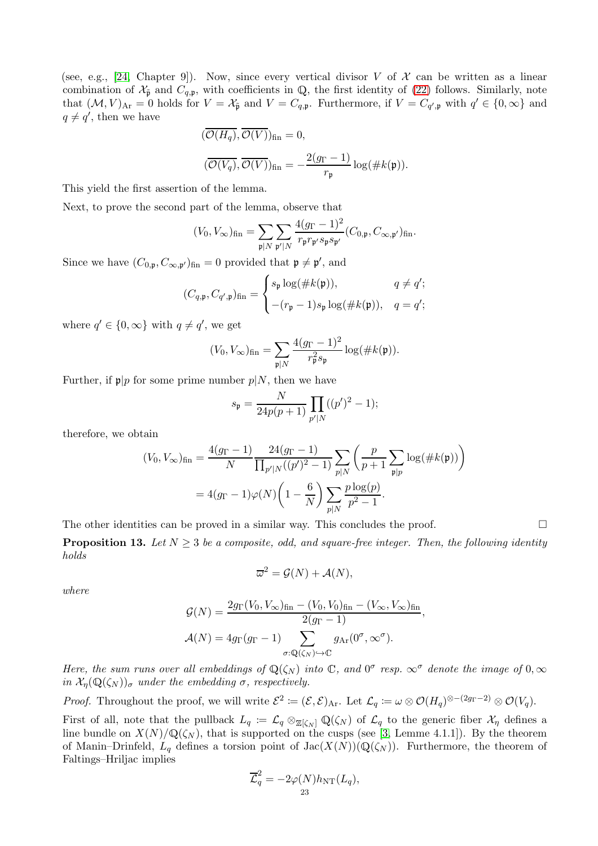(see, e.g., [\[24,](#page-27-11) Chapter 9]). Now, since every vertical divisor V of  $\mathcal X$  can be written as a linear combination of  $\mathcal{X}_{\tilde{\mathfrak{p}}}$  and  $C_{q,\mathfrak{p}}$ , with coefficients in Q, the first identity of [\(22\)](#page-21-1) follows. Similarly, note that  $(M, V)_{\text{Ar}} = 0$  holds for  $V = \mathcal{X}_{\tilde{\mathfrak{p}}}$  and  $V = C_{q,\mathfrak{p}}$ . Furthermore, if  $V = C_{q',\mathfrak{p}}$  with  $q' \in \{0, \infty\}$  and  $q \neq q'$ , then we have

$$
\begin{aligned} & (\overline{\mathcal{O}(H_q)}, \overline{\mathcal{O}(V)})_{\text{fin}} = 0, \\ & (\overline{\mathcal{O}(V_q)}, \overline{\mathcal{O}(V)})_{\text{fin}} = -\frac{2(g_{\Gamma} - 1)}{r_{\mathfrak{p}}} \log(\# k(\mathfrak{p})). \end{aligned}
$$

This yield the first assertion of the lemma.

Next, to prove the second part of the lemma, observe that

$$
(V_0, V_\infty)_{\text{fin}} = \sum_{\mathfrak{p} \mid N} \sum_{\mathfrak{p}' \mid N} \frac{4(g_{\Gamma} - 1)^2}{r_{\mathfrak{p}} r_{\mathfrak{p}'} s_{\mathfrak{p}} s_{\mathfrak{p}'}} (C_{0,\mathfrak{p}}, C_{\infty,\mathfrak{p}'} )_{\text{fin}}.
$$

Since we have  $(C_{0,\mathfrak{p}}, C_{\infty,\mathfrak{p}'})_{\text{fin}} = 0$  provided that  $\mathfrak{p} \neq \mathfrak{p}'$ , and

$$
(C_{q,\mathfrak{p}}, C_{q',\mathfrak{p}})_{\text{fin}} = \begin{cases} s_{\mathfrak{p}} \log(\#k(\mathfrak{p})), & q \neq q'; \\ -(r_{\mathfrak{p}} - 1)s_{\mathfrak{p}} \log(\#k(\mathfrak{p})), & q = q'; \end{cases}
$$

where  $q' \in \{0, \infty\}$  with  $q \neq q'$ , we get

$$
(V_0, V_{\infty})_{\text{fin}} = \sum_{\mathfrak{p} | N} \frac{4(g_{\Gamma} - 1)^2}{r_{\mathfrak{p}}^2 s_{\mathfrak{p}}} \log(\# k(\mathfrak{p})).
$$

Further, if  $\mathfrak{p}|p$  for some prime number  $p|N$ , then we have

$$
s_{\mathfrak{p}} = \frac{N}{24p(p+1)} \prod_{p'|N} ((p')^{2} - 1);
$$

therefore, we obtain

$$
(V_0, V_{\infty})_{\text{fin}} = \frac{4(g_{\Gamma} - 1)}{N} \frac{24(g_{\Gamma} - 1)}{\prod_{p'|N}((p')^2 - 1)} \sum_{p|N} \left(\frac{p}{p+1} \sum_{\mathfrak{p}|p} \log(\#k(\mathfrak{p}))\right)
$$

$$
= 4(g_{\Gamma} - 1)\varphi(N)\left(1 - \frac{6}{N}\right) \sum_{p|N} \frac{p \log(p)}{p^2 - 1}.
$$

The other identities can be proved in a similar way. This concludes the proof.  $\Box$ 

<span id="page-22-0"></span>**Proposition 13.** Let  $N \geq 3$  be a composite, odd, and square-free integer. Then, the following identity *holds*

$$
\overline{\omega}^2 = \mathcal{G}(N) + \mathcal{A}(N),
$$

*where*

$$
\mathcal{G}(N) = \frac{2g_{\Gamma}(V_0, V_{\infty})_{\text{fin}} - (V_0, V_0)_{\text{fin}} - (V_{\infty}, V_{\infty})_{\text{fin}}}{2(g_{\Gamma} - 1)},
$$

$$
\mathcal{A}(N) = 4g_{\Gamma}(g_{\Gamma} - 1) \sum_{\sigma: \mathbb{Q}(\zeta_N) \hookrightarrow \mathbb{C}} g_{\text{Ar}}(0^{\sigma}, \infty^{\sigma}).
$$

*Here, the sum runs over all embeddings of*  $\mathbb{Q}(\zeta_N)$  *into*  $\mathbb{C}$ *, and*  $0^{\sigma}$  *resp.*  $\infty^{\sigma}$  *denote the image of*  $0, \infty$ *in*  $\mathcal{X}_n(\mathbb{Q}(\zeta_N))_{\sigma}$  *under the embedding*  $\sigma$ *, respectively.* 

*Proof.* Throughout the proof, we will write  $\mathcal{E}^2 \coloneqq (\mathcal{E}, \mathcal{E})_{\text{Ar}}$ . Let  $\mathcal{L}_q \coloneqq \omega \otimes \mathcal{O}(H_q)^{\otimes -(2g_\Gamma - 2)} \otimes \mathcal{O}(V_q)$ .

First of all, note that the pullback  $L_q := \mathcal{L}_q \otimes_{\mathbb{Z}[\zeta_N]} \mathbb{Q}(\zeta_N)$  of  $\mathcal{L}_q$  to the generic fiber  $\mathcal{X}_\eta$  defines a line bundle on  $X(N)/\mathbb{Q}(\zeta_N)$ , that is supported on the cusps (see [\[3,](#page-26-1) Lemme 4.1.1]). By the theorem of Manin–Drinfeld,  $L_q$  defines a torsion point of  $Jac(X(N))(\mathbb{Q}(\zeta_N))$ . Furthermore, the theorem of Faltings–Hriljac implies

$$
\overline{\mathcal{L}}_q^2 = -2\varphi(N)h_{\rm NT}(L_q),
$$
  
23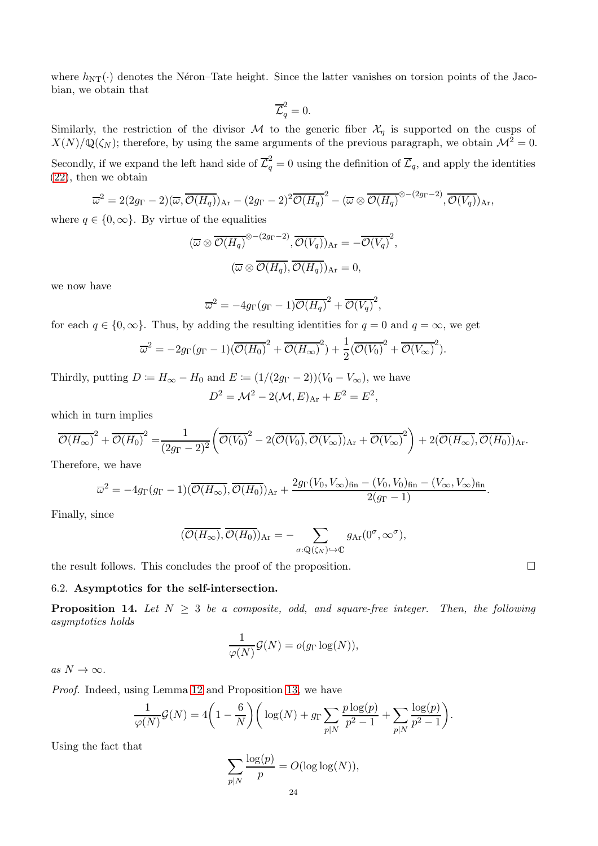where  $h_{NT}(\cdot)$  denotes the Néron–Tate height. Since the latter vanishes on torsion points of the Jacobian, we obtain that

$$
\overline{\mathcal{L}}_q^2 = 0.
$$

Similarly, the restriction of the divisor M to the generic fiber  $\mathcal{X}_\eta$  is supported on the cusps of  $X(N)/\mathbb{Q}(\zeta_N)$ ; therefore, by using the same arguments of the previous paragraph, we obtain  $\mathcal{M}^2 = 0$ .

Secondly, if we expand the left hand side of  $\overline{\mathcal{L}}_q^2 = 0$  using the definition of  $\overline{\mathcal{L}}_q$ , and apply the identities [\(22\)](#page-21-1), then we obtain

$$
\overline{\omega}^2 = 2(2g_{\Gamma} - 2)(\overline{\omega}, \overline{\mathcal{O}(H_q)})_{\text{Ar}} - (2g_{\Gamma} - 2)^2 \overline{\mathcal{O}(H_q)}^2 - (\overline{\omega} \otimes \overline{\mathcal{O}(H_q)}^{\otimes - (2g_{\Gamma} - 2)}, \overline{\mathcal{O}(V_q)})_{\text{Ar}},
$$

where  $q \in \{0, \infty\}$ . By virtue of the equalities

$$
(\overline{\omega} \otimes \overline{\mathcal{O}(H_q)}^{\otimes -(2g_{\Gamma}-2)}, \overline{\mathcal{O}(V_q)})_{\text{Ar}} = -\overline{\mathcal{O}(V_q)}^2,
$$

$$
(\overline{\omega} \otimes \overline{\mathcal{O}(H_q)}, \overline{\mathcal{O}(H_q)})_{\text{Ar}} = 0,
$$

we now have

$$
\overline{\omega}^2 = -4g_{\Gamma}(g_{\Gamma} - 1)\overline{\mathcal{O}(H_q)}^2 + \overline{\mathcal{O}(V_q)}^2,
$$

for each  $q \in \{0, \infty\}$ . Thus, by adding the resulting identities for  $q = 0$  and  $q = \infty$ , we get

$$
\overline{\omega}^2 = -2g_{\Gamma}(g_{\Gamma} - 1)(\overline{\mathcal{O}(H_0)}^2 + \overline{\mathcal{O}(H_{\infty})}^2) + \frac{1}{2}(\overline{\mathcal{O}(V_0)}^2 + \overline{\mathcal{O}(V_{\infty})}^2).
$$

Thirdly, putting  $D := H_{\infty} - H_0$  and  $E := (1/(2g_{\Gamma} - 2))(V_0 - V_{\infty})$ , we have  $D^2 = \mathcal{M}^2 - 2(\mathcal{M}, E)_{\text{Ar}} + E^2 = E^2,$ 

which in turn implies

$$
\overline{\mathcal{O}(H_{\infty})}^2 + \overline{\mathcal{O}(H_0)}^2 = \frac{1}{(2g_{\Gamma} - 2)^2} \left( \overline{\mathcal{O}(V_0)}^2 - 2(\overline{\mathcal{O}(V_0)}, \overline{\mathcal{O}(V_{\infty})})_{\text{Ar}} + \overline{\mathcal{O}(V_{\infty})}^2 \right) + 2(\overline{\mathcal{O}(H_{\infty})}, \overline{\mathcal{O}(H_0)})_{\text{Ar}}.
$$

Therefore, we have

$$
\overline{\omega}^2 = -4g_{\Gamma}(g_{\Gamma}-1)(\overline{\mathcal{O}(H_{\infty})}, \overline{\mathcal{O}(H_0)})_{\mathrm{Ar}} + \frac{2g_{\Gamma}(V_0, V_{\infty})_{\mathrm{fin}} - (V_0, V_0)_{\mathrm{fin}} - (V_{\infty}, V_{\infty})_{\mathrm{fin}}}{2(g_{\Gamma}-1)}.
$$

Finally, since

$$
(\overline{\mathcal{O}(H_{\infty})}, \overline{\mathcal{O}(H_0)})_{\mathrm{Ar}} = -\sum_{\sigma : \mathbb{Q}(\zeta_N) \hookrightarrow \mathbb{C}} g_{\mathrm{Ar}}(0^{\sigma}, \infty^{\sigma}),
$$

<span id="page-23-1"></span>the result follows. This concludes the proof of the proposition.

## 6.2. Asymptotics for the self-intersection.

<span id="page-23-0"></span>**Proposition 14.** Let  $N \geq 3$  be a composite, odd, and square-free integer. Then, the following *asymptotics holds*

$$
\frac{1}{\varphi(N)}\mathcal{G}(N) = o(g_{\Gamma}\log(N)),
$$

 $as\ N\to\infty$ .

*Proof.* Indeed, using Lemma [12](#page-21-2) and Proposition [13,](#page-22-0) we have

$$
\frac{1}{\varphi(N)}\mathcal{G}(N) = 4\left(1 - \frac{6}{N}\right)\left(\log(N) + g_{\Gamma}\sum_{p|N}\frac{p\log(p)}{p^2 - 1} + \sum_{p|N}\frac{\log(p)}{p^2 - 1}\right).
$$

Using the fact that

$$
\sum_{p|N} \frac{\log(p)}{p} = O(\log \log(N)),
$$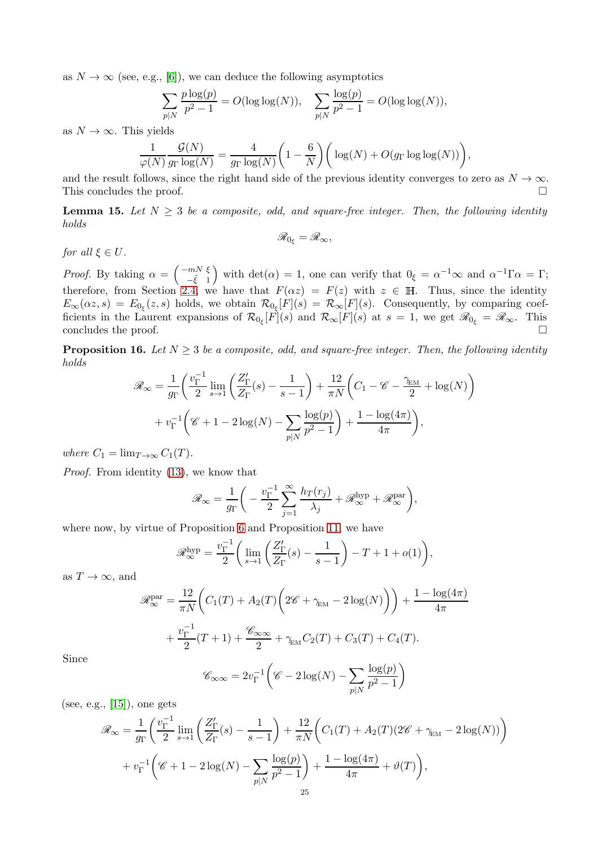as  $N \to \infty$  (see, e.g., [\[6\]](#page-26-8)), we can deduce the following asymptotics

$$
\sum_{p|N} \frac{p \log(p)}{p^2 - 1} = O(\log \log(N)), \quad \sum_{p|N} \frac{\log(p)}{p^2 - 1} = O(\log \log(N)),
$$

as  $N \to \infty$ . This yields

$$
\frac{1}{\varphi(N)} \frac{\mathcal{G}(N)}{g_{\Gamma} \log(N)} = \frac{4}{g_{\Gamma} \log(N)} \left(1 - \frac{6}{N}\right) \left( \log(N) + O(g_{\Gamma} \log \log(N)) \right),\,
$$

and the result follows, since the right hand side of the previous identity converges to zero as  $N \to \infty$ .<br>This concludes the proof. This concludes the proof.

<span id="page-24-0"></span>**Lemma 15.** Let  $N \geq 3$  be a composite, odd, and square-free integer. Then, the following identity *holds*

$$
\mathscr{R}_{0_{\xi}}=\mathscr{R}_{\infty},
$$

*for all*  $\xi \in U$ *.* 

*Proof.* By taking  $\alpha = \begin{pmatrix} -mN & \xi \\ -\tilde{\epsilon} & 1 \end{pmatrix}$  $-\tilde{\xi}$  1 with  $det(\alpha) = 1$ , one can verify that  $0_{\xi} = \alpha^{-1} \infty$  and  $\alpha^{-1} \Gamma \alpha = \Gamma$ ; therefore, from Section [2.4,](#page-6-3) we have that  $F(\alpha z) = F(z)$  with  $z \in \mathbb{H}$ . Thus, since the identity  $E_{\infty}(\alpha z, s) = E_{0_{\xi}}(z, s)$  holds, we obtain  $\mathcal{R}_{0_{\xi}}[F](s) = \mathcal{R}_{\infty}[F](s)$ . Consequently, by comparing coefficients in the Laurent expansions of  $\mathcal{R}_{0_{\xi}}[F](s)$  and  $\mathcal{R}_{\infty}[F](s)$  at  $s=1$ , we get  $\mathscr{R}_{0_{\xi}}=\mathscr{R}_{\infty}$ . This concludes the proof.

<span id="page-24-1"></span>**Proposition 16.** Let  $N \geq 3$  be a composite, odd, and square-free integer. Then, the following identity *holds*

$$
\mathscr{R}_{\infty} = \frac{1}{g_{\Gamma}} \left( \frac{v_{\Gamma}^{-1}}{2} \lim_{s \to 1} \left( \frac{Z_{\Gamma}'}{Z_{\Gamma}}(s) - \frac{1}{s - 1} \right) + \frac{12}{\pi N} \left( C_1 - \mathscr{C} - \frac{\gamma_{\text{EM}}}{2} + \log(N) \right) + v_{\Gamma}^{-1} \left( \mathscr{C} + 1 - 2 \log(N) - \sum_{p|N} \frac{\log(p)}{p^2 - 1} \right) + \frac{1 - \log(4\pi)}{4\pi} \right),
$$

*where*  $C_1 = \lim_{T \to \infty} C_1(T)$ *.* 

*Proof.* From identity [\(13\)](#page-6-1), we know that

$$
\mathscr{R}_{\infty} = \frac{1}{g_{\Gamma}} \bigg( -\frac{v_{\Gamma}^{-1}}{2} \sum_{j=1}^{\infty} \frac{h_{T}(r_j)}{\lambda_j} + \mathscr{R}_{\infty}^{\text{hyp}} + \mathscr{R}_{\infty}^{\text{par}} \bigg),
$$

where now, by virtue of Proposition [6](#page-13-0) and Proposition [11,](#page-20-0) we have

$$
\mathscr{R}_{\infty}^{\mathrm{hyp}} = \frac{v_{\Gamma}^{-1}}{2} \bigg( \lim_{s \to 1} \left( \frac{Z_{\Gamma}'}{Z_{\Gamma}}(s) - \frac{1}{s - 1} \right) - T + 1 + o(1) \bigg),
$$

as  $T \to \infty$ , and

$$
\mathcal{R}_{\infty}^{\text{par}} = \frac{12}{\pi N} \left( C_1(T) + A_2(T) \left( 2\mathscr{C} + \gamma_{\text{EM}} - 2 \log(N) \right) \right) + \frac{1 - \log(4\pi)}{4\pi}
$$

$$
+ \frac{v_{\Gamma}^{-1}}{2} (T + 1) + \frac{\mathscr{C}_{\infty \infty}}{2} + \gamma_{\text{EM}} C_2(T) + C_3(T) + C_4(T).
$$

$$
\mathscr{C}_{\infty} = 2v^{-1} \left( \mathscr{C}_{\infty} - 2 \log(N) - \sum \frac{\log(p)}{2} \right)
$$

Since

$$
\mathscr{C}_{\infty\infty} = 2v_{\Gamma}^{-1}\left(\mathscr{C} - 2\log(N) - \sum_{p|N} \frac{\log(p)}{p^2 - 1}\right)
$$

(see, e.g.,  $[15]$ ), one gets

$$
\mathscr{R}_{\infty} = \frac{1}{g_{\Gamma}} \left( \frac{v_{\Gamma}^{-1}}{2} \lim_{s \to 1} \left( \frac{Z_{\Gamma}'}{Z_{\Gamma}}(s) - \frac{1}{s - 1} \right) + \frac{12}{\pi N} \left( C_{1}(T) + A_{2}(T)(2\mathscr{C} + \gamma_{\text{EM}} - 2 \log(N)) \right) + v_{\Gamma}^{-1} \left( \mathscr{C} + 1 - 2 \log(N) - \sum_{p|N} \frac{\log(p)}{p^{2} - 1} \right) + \frac{1 - \log(4\pi)}{4\pi} + \vartheta(T) \right),
$$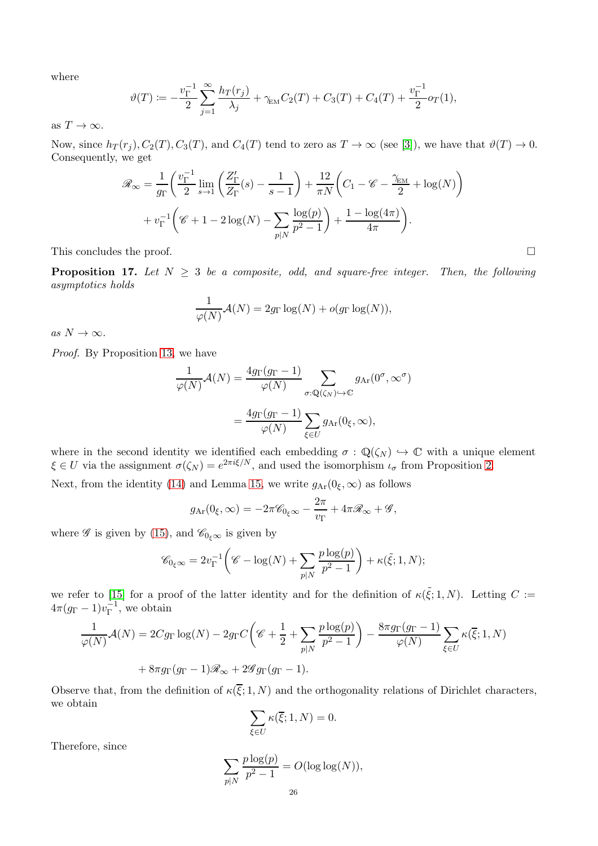where

$$
\vartheta(T) := -\frac{v_{\Gamma}^{-1}}{2} \sum_{j=1}^{\infty} \frac{h_T(r_j)}{\lambda_j} + \gamma_{\text{EM}} C_2(T) + C_3(T) + C_4(T) + \frac{v_{\Gamma}^{-1}}{2} o_T(1),
$$

as  $T \to \infty$ .

Now, since  $h_T(r_j)$ ,  $C_2(T)$ ,  $C_3(T)$ , and  $C_4(T)$  tend to zero as  $T \to \infty$  (see [\[3\]](#page-26-1)), we have that  $\vartheta(T) \to 0$ . Consequently, we get

$$
\mathcal{R}_{\infty} = \frac{1}{g_{\Gamma}} \left( \frac{v_{\Gamma}^{-1}}{2} \lim_{s \to 1} \left( \frac{Z_{\Gamma}'}{Z_{\Gamma}}(s) - \frac{1}{s - 1} \right) + \frac{12}{\pi N} \left( C_1 - \mathcal{C} - \frac{\gamma_{\text{EM}}}{2} + \log(N) \right) + v_{\Gamma}^{-1} \left( \mathcal{C} + 1 - 2 \log(N) - \sum_{p \mid N} \frac{\log(p)}{p^2 - 1} \right) + \frac{1 - \log(4\pi)}{4\pi} \right).
$$

This concludes the proof.  $\Box$ 

<span id="page-25-0"></span>**Proposition 17.** Let  $N \geq 3$  be a composite, odd, and square-free integer. Then, the following *asymptotics holds*

$$
\frac{1}{\varphi(N)}\mathcal{A}(N) = 2g_{\Gamma}\log(N) + o(g_{\Gamma}\log(N)),
$$

 $as\ N\to\infty$ .

*Proof.* By Proposition [13,](#page-22-0) we have

$$
\frac{1}{\varphi(N)}\mathcal{A}(N) = \frac{4g_{\Gamma}(g_{\Gamma} - 1)}{\varphi(N)} \sum_{\sigma: \mathbb{Q}(\zeta_N) \hookrightarrow \mathbb{C}} g_{\text{Ar}}(0^{\sigma}, \infty^{\sigma})
$$

$$
= \frac{4g_{\Gamma}(g_{\Gamma} - 1)}{\varphi(N)} \sum_{\xi \in U} g_{\text{Ar}}(0_{\xi}, \infty),
$$

where in the second identity we identified each embedding  $\sigma : \mathbb{Q}(\zeta_N) \hookrightarrow \mathbb{C}$  with a unique element  $\xi \in U$  via the assignment  $\sigma(\zeta_N) = e^{2\pi i \xi/N}$ , and used the isomorphism  $\iota_{\sigma}$  from Proposition [2.](#page-9-0)

Next, from the identity [\(14\)](#page-7-1) and Lemma [15,](#page-24-0) we write  $g_{\text{Ar}}(0_{\xi}, \infty)$  as follows

$$
g_{\text{Ar}}(0_{\xi}, \infty) = -2\pi \mathscr{C}_{0_{\xi}\infty} - \frac{2\pi}{v_{\Gamma}} + 4\pi \mathscr{R}_{\infty} + \mathscr{G},
$$

where  $\mathscr G$  is given by [\(15\)](#page-7-0), and  $\mathscr C_{0_{\xi}\infty}$  is given by

$$
\mathscr{C}_{0\xi\infty} = 2v_{\Gamma}^{-1}\left(\mathscr{C} - \log(N) + \sum_{p|N} \frac{p \log(p)}{p^2 - 1}\right) + \kappa(\tilde{\xi}; 1, N);
$$

we refer to [\[15\]](#page-27-8) for a proof of the latter identity and for the definition of  $\kappa(\tilde{\xi};1,N)$ . Letting  $C :=$  $4\pi (g_\Gamma - 1)v_\Gamma^{-1}$  $\overline{\Gamma}^1$ , we obtain

$$
\frac{1}{\varphi(N)}\mathcal{A}(N) = 2C g_{\Gamma} \log(N) - 2g_{\Gamma} C \left(\mathcal{C} + \frac{1}{2} + \sum_{p|N} \frac{p \log(p)}{p^2 - 1} \right) - \frac{8\pi g_{\Gamma}(g_{\Gamma} - 1)}{\varphi(N)} \sum_{\xi \in U} \kappa(\overline{\xi}; 1, N)
$$

$$
+ 8\pi g_{\Gamma}(g_{\Gamma} - 1)\mathcal{R}_{\infty} + 2\mathcal{G}g_{\Gamma}(g_{\Gamma} - 1).
$$

Observe that, from the definition of  $\kappa(\overline{\xi};1,N)$  and the orthogonality relations of Dirichlet characters, we obtain

$$
\sum_{\xi \in U} \kappa(\overline{\xi}; 1, N) = 0.
$$

Therefore, since

$$
\sum_{p|N} \frac{p \log(p)}{p^2 - 1} = O(\log \log(N)),
$$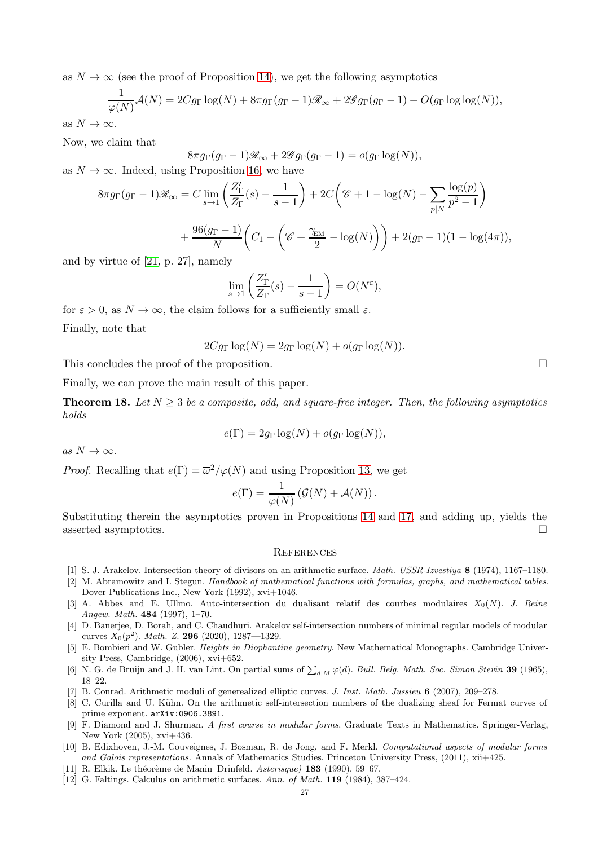as  $N \to \infty$  (see the proof of Proposition [14\)](#page-23-0), we get the following asymptotics

$$
\frac{1}{\varphi(N)}\mathcal{A}(N) = 2Cg_{\Gamma}\log(N) + 8\pi g_{\Gamma}(g_{\Gamma}-1)\mathcal{R}_{\infty} + 2\mathcal{G}g_{\Gamma}(g_{\Gamma}-1) + O(g_{\Gamma}\log\log(N)),
$$

as  $N \to \infty$ .

Now, we claim that

 $8\pi g_{\Gamma}(g_{\Gamma}-1)\mathcal{R}_{\infty}+2\mathcal{G}g_{\Gamma}(g_{\Gamma}-1)=o(g_{\Gamma}\log(N)),$ 

as  $N \to \infty$ . Indeed, using Proposition [16,](#page-24-1) we have

$$
8\pi g_{\Gamma}(g_{\Gamma}-1)\mathscr{R}_{\infty} = C \lim_{s \to 1} \left( \frac{Z'_{\Gamma}}{Z_{\Gamma}}(s) - \frac{1}{s-1} \right) + 2C \left( \mathscr{C} + 1 - \log(N) - \sum_{p|N} \frac{\log(p)}{p^2 - 1} \right) + \frac{96(g_{\Gamma} - 1)}{N} \left( C_1 - \left( \mathscr{C} + \frac{\gamma_{\text{EM}}}{2} - \log(N) \right) \right) + 2(g_{\Gamma} - 1)(1 - \log(4\pi)),
$$

and by virtue of [\[21,](#page-27-9) p. 27], namely

$$
\lim_{s \to 1} \left( \frac{Z'_{\Gamma}}{Z_{\Gamma}}(s) - \frac{1}{s - 1} \right) = O(N^{\varepsilon}),
$$

for  $\varepsilon > 0$ , as  $N \to \infty$ , the claim follows for a sufficiently small  $\varepsilon$ .

Finally, note that

$$
2Cg_{\Gamma}\log(N) = 2g_{\Gamma}\log(N) + o(g_{\Gamma}\log(N)).
$$

This concludes the proof of the proposition.

Finally, we can prove the main result of this paper.

<span id="page-26-5"></span>**Theorem 18.** Let  $N > 3$  be a composite, odd, and square-free integer. Then, the following asymptotics *holds*

$$
e(\Gamma) = 2g_{\Gamma} \log(N) + o(g_{\Gamma} \log(N)),
$$

 $as N \to \infty$ .

*Proof.* Recalling that  $e(\Gamma) = \overline{\omega}^2/\varphi(N)$  and using Proposition [13,](#page-22-0) we get

$$
e(\Gamma) = \frac{1}{\varphi(N)} \left( \mathcal{G}(N) + \mathcal{A}(N) \right).
$$

Substituting therein the asymptotics proven in Propositions [14](#page-23-0) and [17,](#page-25-0) and adding up, yields the asserted asymptotics.

### **REFERENCES**

- [1] S. J. Arakelov. Intersection theory of divisors on an arithmetic surface. *Math. USSR-Izvestiya* 8 (1974), 1167–1180.
- [2] M. Abramowitz and I. Stegun. *Handbook of mathematical functions with formulas, graphs, and mathematical tables*. Dover Publications Inc., New York (1992), xvi+1046.
- <span id="page-26-1"></span>[3] A. Abbes and E. Ullmo. Auto-intersection du dualisant relatif des courbes modulaires  $X_0(N)$ . *J. Reine Angew. Math.* 484 (1997), 1–70.
- <span id="page-26-4"></span>[4] D. Banerjee, D. Borah, and C. Chaudhuri. Arakelov self-intersection numbers of minimal regular models of modular curves  $X_0(p^2)$ . *Math. Z.* **296** (2020), 1287—1329.
- <span id="page-26-3"></span>[5] E. Bombieri and W. Gubler. *Heights in Diophantine geometry*. New Mathematical Monographs. Cambridge University Press, Cambridge, (2006), xvi+652.
- <span id="page-26-8"></span>[6] N. G. de Bruijn and J. H. van Lint. On partial sums of  $\sum_{d|M} \varphi(d)$ . *Bull. Belg. Math. Soc. Simon Stevin* 39 (1965), 18–22.
- <span id="page-26-7"></span><span id="page-26-2"></span>[7] B. Conrad. Arithmetic moduli of generealized elliptic curves. *J. Inst. Math. Jussieu* 6 (2007), 209–278.
- [8] C. Curilla and U. Kühn. On the arithmetic self-intersection numbers of the dualizing sheaf for Fermat curves of prime exponent. arXiv:0906.3891.
- [9] F. Diamond and J. Shurman. *A first course in modular forms*. Graduate Texts in Mathematics. Springer-Verlag, New York (2005), xvi+436.
- <span id="page-26-0"></span>[10] B. Edixhoven, J.-M. Couveignes, J. Bosman, R. de Jong, and F. Merkl. *Computational aspects of modular forms and Galois representations.* Annals of Mathematics Studies. Princeton University Press, (2011), xii+425.
- <span id="page-26-6"></span>[11] R. Elkik. Le théorème de Manin–Drinfeld. *Asterisque*) **183** (1990), 59–67.
- [12] G. Faltings. Calculus on arithmetic surfaces. *Ann. of Math.* 119 (1984), 387–424.